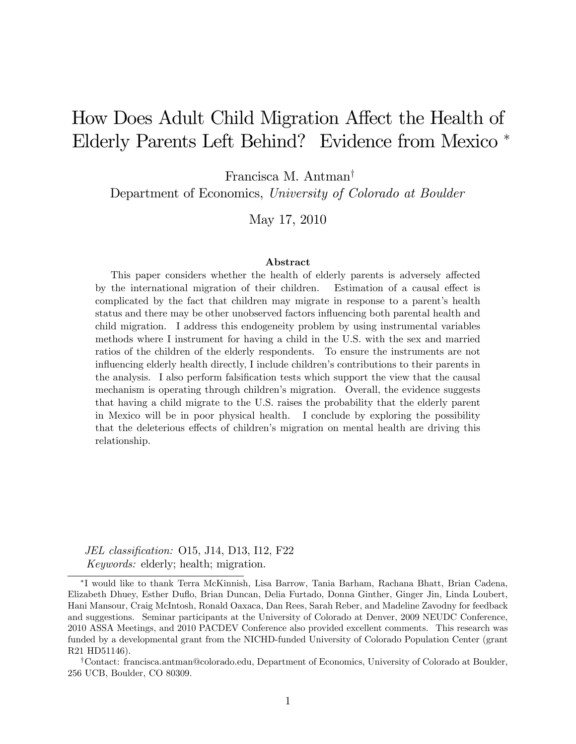# How Does Adult Child Migration Affect the Health of Elderly Parents Left Behind? Evidence from Mexico

Francisca M. Antman<sup>†</sup>

Department of Economics, University of Colorado at Boulder

May 17, 2010

#### Abstract

This paper considers whether the health of elderly parents is adversely affected by the international migration of their children. Estimation of a causal effect is complicated by the fact that children may migrate in response to a parent's health status and there may be other unobserved factors influencing both parental health and child migration. I address this endogeneity problem by using instrumental variables methods where I instrument for having a child in the U.S. with the sex and married ratios of the children of the elderly respondents. To ensure the instruments are not influencing elderly health directly, I include children's contributions to their parents in the analysis. I also perform falsification tests which support the view that the causal mechanism is operating through children's migration. Overall, the evidence suggests that having a child migrate to the U.S. raises the probability that the elderly parent in Mexico will be in poor physical health. I conclude by exploring the possibility that the deleterious effects of children's migration on mental health are driving this relationship.

JEL classification: 015, J14, D13, I12, F22 Keywords: elderly; health; migration.

I would like to thank Terra McKinnish, Lisa Barrow, Tania Barham, Rachana Bhatt, Brian Cadena, Elizabeth Dhuey, Esther Duflo, Brian Duncan, Delia Furtado, Donna Ginther, Ginger Jin, Linda Loubert, Hani Mansour, Craig McIntosh, Ronald Oaxaca, Dan Rees, Sarah Reber, and Madeline Zavodny for feedback and suggestions. Seminar participants at the University of Colorado at Denver, 2009 NEUDC Conference, 2010 ASSA Meetings, and 2010 PACDEV Conference also provided excellent comments. This research was funded by a developmental grant from the NICHD-funded University of Colorado Population Center (grant R21 HD51146).

<sup>&</sup>lt;sup>†</sup>Contact: francisca.antman@colorado.edu, Department of Economics, University of Colorado at Boulder, 256 UCB, Boulder, CO 80309.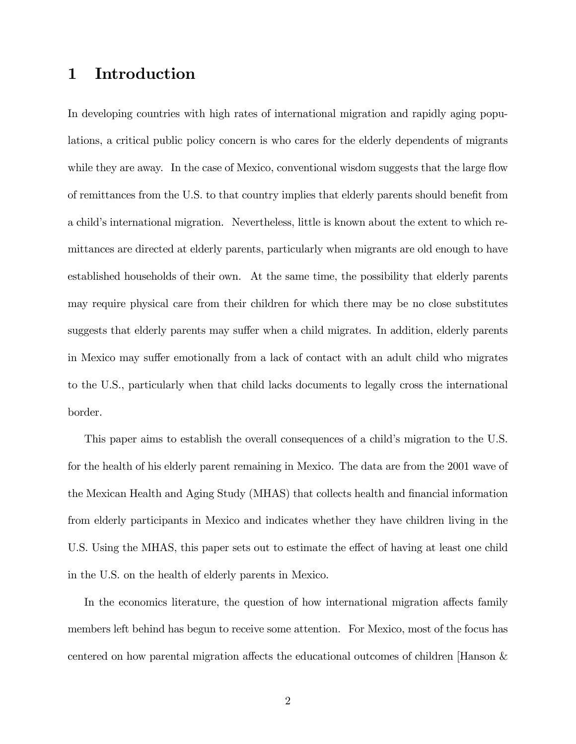# 1 Introduction

In developing countries with high rates of international migration and rapidly aging populations, a critical public policy concern is who cares for the elderly dependents of migrants while they are away. In the case of Mexico, conventional wisdom suggests that the large flow of remittances from the U.S. to that country implies that elderly parents should benefit from a child's international migration. Nevertheless, little is known about the extent to which remittances are directed at elderly parents, particularly when migrants are old enough to have established households of their own. At the same time, the possibility that elderly parents may require physical care from their children for which there may be no close substitutes suggests that elderly parents may suffer when a child migrates. In addition, elderly parents in Mexico may suffer emotionally from a lack of contact with an adult child who migrates to the U.S., particularly when that child lacks documents to legally cross the international border.

This paper aims to establish the overall consequences of a child's migration to the U.S. for the health of his elderly parent remaining in Mexico. The data are from the 2001 wave of the Mexican Health and Aging Study (MHAS) that collects health and financial information from elderly participants in Mexico and indicates whether they have children living in the U.S. Using the MHAS, this paper sets out to estimate the effect of having at least one child in the U.S. on the health of elderly parents in Mexico.

In the economics literature, the question of how international migration affects family members left behind has begun to receive some attention. For Mexico, most of the focus has centered on how parental migration affects the educational outcomes of children [Hanson  $\&$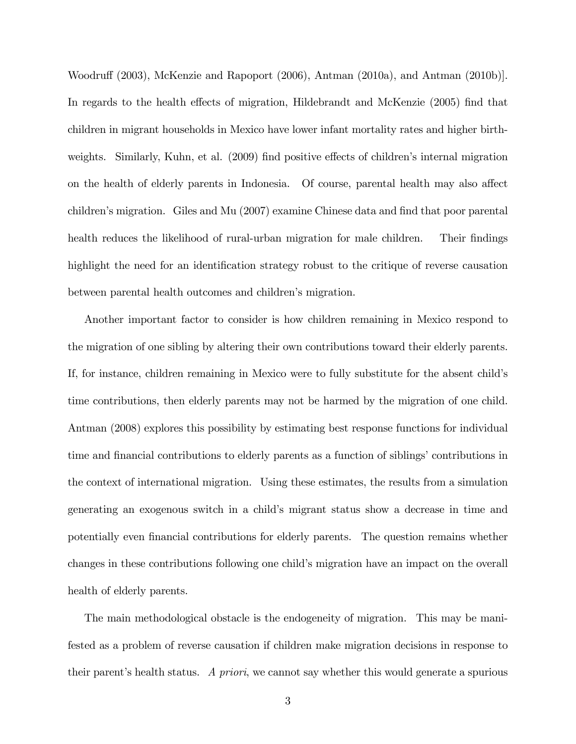Woodruff (2003), McKenzie and Rapoport (2006), Antman (2010a), and Antman (2010b). In regards to the health effects of migration, Hildebrandt and McKenzie (2005) find that children in migrant households in Mexico have lower infant mortality rates and higher birthweights. Similarly, Kuhn, et al. (2009) find positive effects of children's internal migration on the health of elderly parents in Indonesia. Of course, parental health may also affect children's migration. Giles and Mu (2007) examine Chinese data and find that poor parental health reduces the likelihood of rural-urban migration for male children. Their findings highlight the need for an identification strategy robust to the critique of reverse causation between parental health outcomes and children's migration.

Another important factor to consider is how children remaining in Mexico respond to the migration of one sibling by altering their own contributions toward their elderly parents. If, for instance, children remaining in Mexico were to fully substitute for the absent childís time contributions, then elderly parents may not be harmed by the migration of one child. Antman (2008) explores this possibility by estimating best response functions for individual time and financial contributions to elderly parents as a function of siblings' contributions in the context of international migration. Using these estimates, the results from a simulation generating an exogenous switch in a childís migrant status show a decrease in time and potentially even financial contributions for elderly parents. The question remains whether changes in these contributions following one childís migration have an impact on the overall health of elderly parents.

The main methodological obstacle is the endogeneity of migration. This may be manifested as a problem of reverse causation if children make migration decisions in response to their parentís health status. A priori, we cannot say whether this would generate a spurious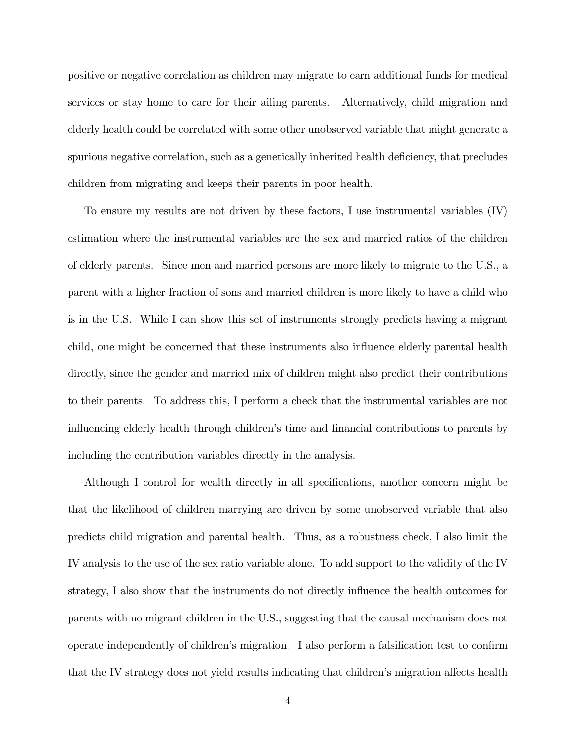positive or negative correlation as children may migrate to earn additional funds for medical services or stay home to care for their ailing parents. Alternatively, child migration and elderly health could be correlated with some other unobserved variable that might generate a spurious negative correlation, such as a genetically inherited health deficiency, that precludes children from migrating and keeps their parents in poor health.

To ensure my results are not driven by these factors, I use instrumental variables (IV) estimation where the instrumental variables are the sex and married ratios of the children of elderly parents. Since men and married persons are more likely to migrate to the U.S., a parent with a higher fraction of sons and married children is more likely to have a child who is in the U.S. While I can show this set of instruments strongly predicts having a migrant child, one might be concerned that these instruments also influence elderly parental health directly, since the gender and married mix of children might also predict their contributions to their parents. To address this, I perform a check that the instrumental variables are not influencing elderly health through children's time and financial contributions to parents by including the contribution variables directly in the analysis.

Although I control for wealth directly in all specifications, another concern might be that the likelihood of children marrying are driven by some unobserved variable that also predicts child migration and parental health. Thus, as a robustness check, I also limit the IV analysis to the use of the sex ratio variable alone. To add support to the validity of the IV strategy, I also show that the instruments do not directly influence the health outcomes for parents with no migrant children in the U.S., suggesting that the causal mechanism does not operate independently of children's migration. I also perform a falsification test to confirm that the IV strategy does not yield results indicating that children's migration affects health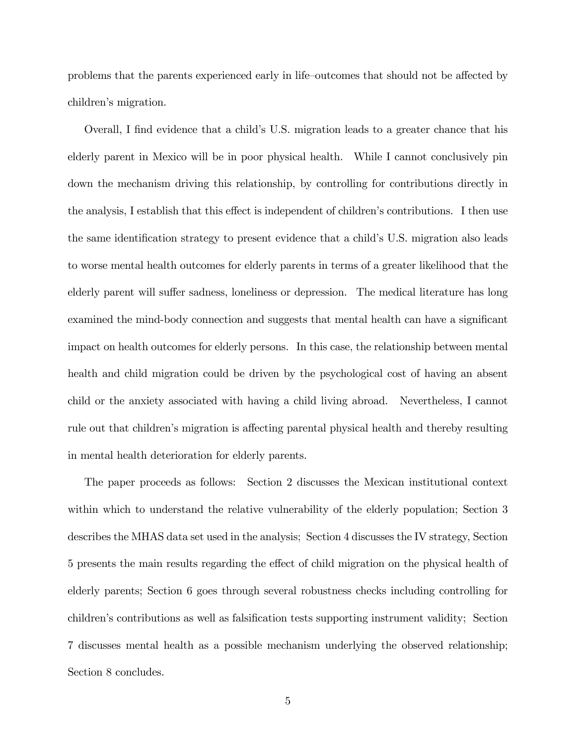problems that the parents experienced early in life-outcomes that should not be affected by children's migration.

Overall, I find evidence that a child's U.S. migration leads to a greater chance that his elderly parent in Mexico will be in poor physical health. While I cannot conclusively pin down the mechanism driving this relationship, by controlling for contributions directly in the analysis, I establish that this effect is independent of children's contributions. I then use the same identification strategy to present evidence that a child's U.S. migration also leads to worse mental health outcomes for elderly parents in terms of a greater likelihood that the elderly parent will suffer sadness, loneliness or depression. The medical literature has long examined the mind-body connection and suggests that mental health can have a significant impact on health outcomes for elderly persons. In this case, the relationship between mental health and child migration could be driven by the psychological cost of having an absent child or the anxiety associated with having a child living abroad. Nevertheless, I cannot rule out that children's migration is affecting parental physical health and thereby resulting in mental health deterioration for elderly parents.

The paper proceeds as follows: Section 2 discusses the Mexican institutional context within which to understand the relative vulnerability of the elderly population; Section 3 describes the MHAS data set used in the analysis; Section 4 discusses the IV strategy, Section 5 presents the main results regarding the effect of child migration on the physical health of elderly parents; Section 6 goes through several robustness checks including controlling for children's contributions as well as falsification tests supporting instrument validity; Section 7 discusses mental health as a possible mechanism underlying the observed relationship; Section 8 concludes.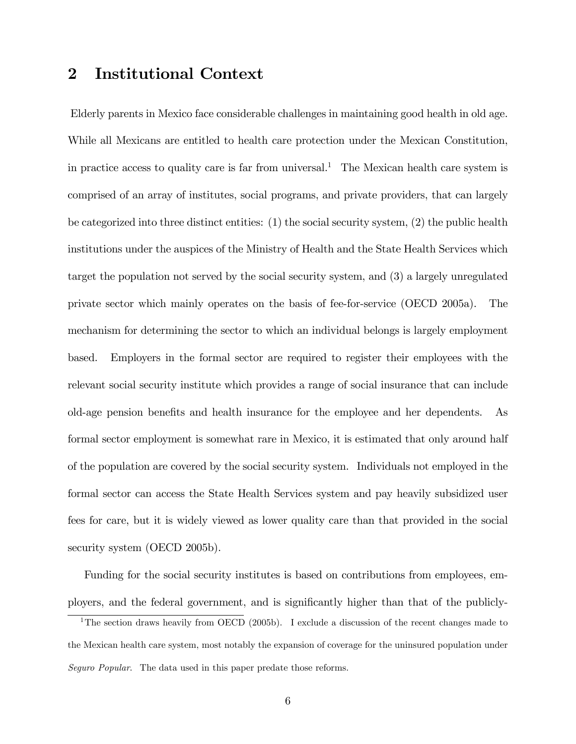## 2 Institutional Context

Elderly parents in Mexico face considerable challenges in maintaining good health in old age. While all Mexicans are entitled to health care protection under the Mexican Constitution, in practice access to quality care is far from universal.<sup>1</sup> The Mexican health care system is comprised of an array of institutes, social programs, and private providers, that can largely be categorized into three distinct entities: (1) the social security system, (2) the public health institutions under the auspices of the Ministry of Health and the State Health Services which target the population not served by the social security system, and (3) a largely unregulated private sector which mainly operates on the basis of fee-for-service (OECD 2005a). The mechanism for determining the sector to which an individual belongs is largely employment based. Employers in the formal sector are required to register their employees with the relevant social security institute which provides a range of social insurance that can include old-age pension benefits and health insurance for the employee and her dependents. As formal sector employment is somewhat rare in Mexico, it is estimated that only around half of the population are covered by the social security system. Individuals not employed in the formal sector can access the State Health Services system and pay heavily subsidized user fees for care, but it is widely viewed as lower quality care than that provided in the social security system (OECD 2005b).

Funding for the social security institutes is based on contributions from employees, employers, and the federal government, and is signiÖcantly higher than that of the publicly-

<sup>&</sup>lt;sup>1</sup>The section draws heavily from OECD (2005b). I exclude a discussion of the recent changes made to the Mexican health care system, most notably the expansion of coverage for the uninsured population under Seguro Popular. The data used in this paper predate those reforms.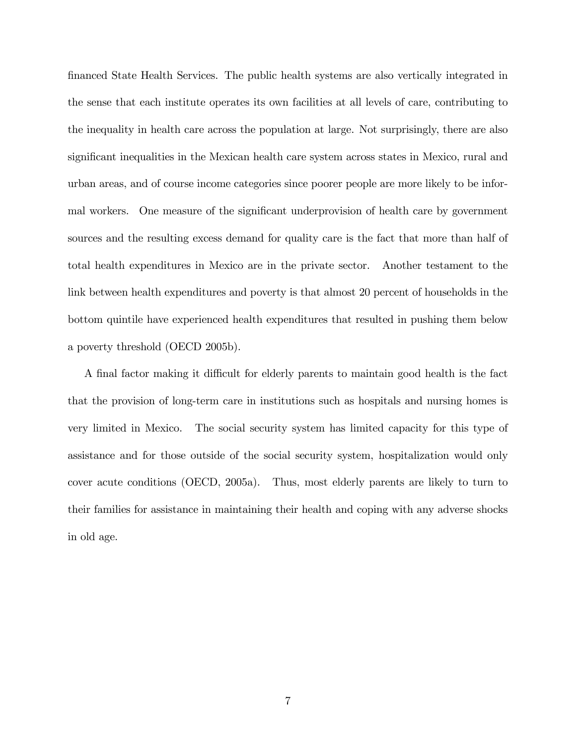Önanced State Health Services. The public health systems are also vertically integrated in the sense that each institute operates its own facilities at all levels of care, contributing to the inequality in health care across the population at large. Not surprisingly, there are also significant inequalities in the Mexican health care system across states in Mexico, rural and urban areas, and of course income categories since poorer people are more likely to be informal workers. One measure of the significant underprovision of health care by government sources and the resulting excess demand for quality care is the fact that more than half of total health expenditures in Mexico are in the private sector. Another testament to the link between health expenditures and poverty is that almost 20 percent of households in the bottom quintile have experienced health expenditures that resulted in pushing them below a poverty threshold (OECD 2005b).

A final factor making it difficult for elderly parents to maintain good health is the fact that the provision of long-term care in institutions such as hospitals and nursing homes is very limited in Mexico. The social security system has limited capacity for this type of assistance and for those outside of the social security system, hospitalization would only cover acute conditions (OECD, 2005a). Thus, most elderly parents are likely to turn to their families for assistance in maintaining their health and coping with any adverse shocks in old age.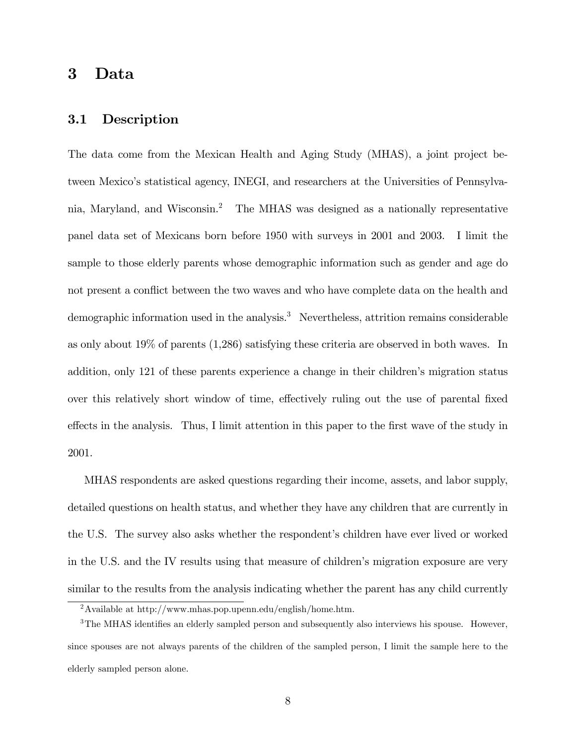### 3 Data

#### 3.1 Description

The data come from the Mexican Health and Aging Study (MHAS), a joint project between Mexicoís statistical agency, INEGI, and researchers at the Universities of Pennsylvania, Maryland, and Wisconsin.<sup>2</sup> The MHAS was designed as a nationally representative panel data set of Mexicans born before 1950 with surveys in 2001 and 2003. I limit the sample to those elderly parents whose demographic information such as gender and age do not present a conflict between the two waves and who have complete data on the health and demographic information used in the analysis.<sup>3</sup> Nevertheless, attrition remains considerable as only about 19% of parents (1,286) satisfying these criteria are observed in both waves. In addition, only 121 of these parents experience a change in their children's migration status over this relatively short window of time, effectively ruling out the use of parental fixed effects in the analysis. Thus, I limit attention in this paper to the first wave of the study in 2001.

MHAS respondents are asked questions regarding their income, assets, and labor supply, detailed questions on health status, and whether they have any children that are currently in the U.S. The survey also asks whether the respondent's children have ever lived or worked in the U.S. and the IV results using that measure of children's migration exposure are very similar to the results from the analysis indicating whether the parent has any child currently

<sup>&</sup>lt;sup>2</sup>Available at http://www.mhas.pop.upenn.edu/english/home.htm.

 $3$ The MHAS identifies an elderly sampled person and subsequently also interviews his spouse. However, since spouses are not always parents of the children of the sampled person, I limit the sample here to the elderly sampled person alone.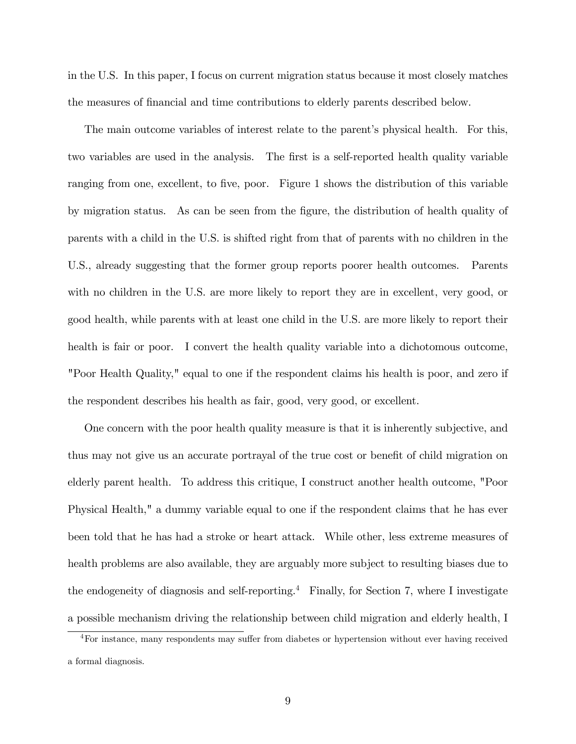in the U.S. In this paper, I focus on current migration status because it most closely matches the measures of financial and time contributions to elderly parents described below.

The main outcome variables of interest relate to the parent's physical health. For this, two variables are used in the analysis. The first is a self-reported health quality variable ranging from one, excellent, to five, poor. Figure 1 shows the distribution of this variable by migration status. As can be seen from the figure, the distribution of health quality of parents with a child in the U.S. is shifted right from that of parents with no children in the U.S., already suggesting that the former group reports poorer health outcomes. Parents with no children in the U.S. are more likely to report they are in excellent, very good, or good health, while parents with at least one child in the U.S. are more likely to report their health is fair or poor. I convert the health quality variable into a dichotomous outcome, "Poor Health Quality," equal to one if the respondent claims his health is poor, and zero if the respondent describes his health as fair, good, very good, or excellent.

One concern with the poor health quality measure is that it is inherently subjective, and thus may not give us an accurate portrayal of the true cost or benefit of child migration on elderly parent health. To address this critique, I construct another health outcome, "Poor Physical Health," a dummy variable equal to one if the respondent claims that he has ever been told that he has had a stroke or heart attack. While other, less extreme measures of health problems are also available, they are arguably more subject to resulting biases due to the endogeneity of diagnosis and self-reporting.<sup>4</sup> Finally, for Section 7, where I investigate a possible mechanism driving the relationship between child migration and elderly health, I

 $4$ For instance, many respondents may suffer from diabetes or hypertension without ever having received a formal diagnosis.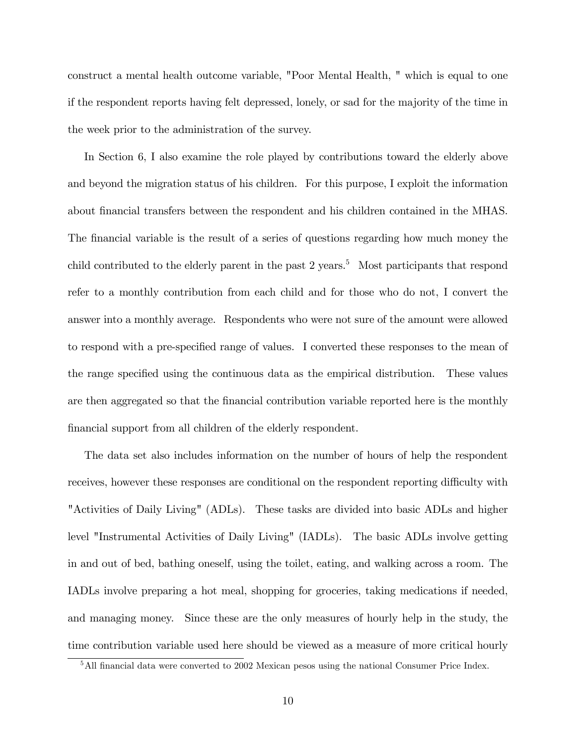construct a mental health outcome variable, "Poor Mental Health, " which is equal to one if the respondent reports having felt depressed, lonely, or sad for the majority of the time in the week prior to the administration of the survey.

In Section 6, I also examine the role played by contributions toward the elderly above and beyond the migration status of his children. For this purpose, I exploit the information about Önancial transfers between the respondent and his children contained in the MHAS. The financial variable is the result of a series of questions regarding how much money the child contributed to the elderly parent in the past  $2$  years.<sup>5</sup> Most participants that respond refer to a monthly contribution from each child and for those who do not, I convert the answer into a monthly average. Respondents who were not sure of the amount were allowed to respond with a pre-specified range of values. I converted these responses to the mean of the range specified using the continuous data as the empirical distribution. These values are then aggregated so that the financial contribution variable reported here is the monthly financial support from all children of the elderly respondent.

The data set also includes information on the number of hours of help the respondent receives, however these responses are conditional on the respondent reporting difficulty with "Activities of Daily Living" (ADLs). These tasks are divided into basic ADLs and higher level "Instrumental Activities of Daily Living" (IADLs). The basic ADLs involve getting in and out of bed, bathing oneself, using the toilet, eating, and walking across a room. The IADLs involve preparing a hot meal, shopping for groceries, taking medications if needed, and managing money. Since these are the only measures of hourly help in the study, the time contribution variable used here should be viewed as a measure of more critical hourly

<sup>&</sup>lt;sup>5</sup>All financial data were converted to 2002 Mexican pesos using the national Consumer Price Index.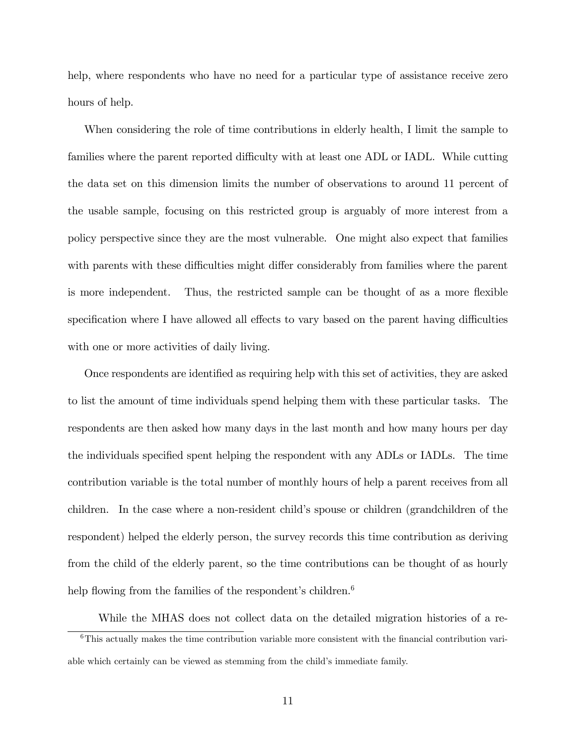help, where respondents who have no need for a particular type of assistance receive zero hours of help.

When considering the role of time contributions in elderly health, I limit the sample to families where the parent reported difficulty with at least one ADL or IADL. While cutting the data set on this dimension limits the number of observations to around 11 percent of the usable sample, focusing on this restricted group is arguably of more interest from a policy perspective since they are the most vulnerable. One might also expect that families with parents with these difficulties might differ considerably from families where the parent is more independent. Thus, the restricted sample can be thought of as a more flexible specification where I have allowed all effects to vary based on the parent having difficulties with one or more activities of daily living.

Once respondents are identified as requiring help with this set of activities, they are asked to list the amount of time individuals spend helping them with these particular tasks. The respondents are then asked how many days in the last month and how many hours per day the individuals specified spent helping the respondent with any ADLs or IADLs. The time contribution variable is the total number of monthly hours of help a parent receives from all children. In the case where a non-resident child's spouse or children (grandchildren of the respondent) helped the elderly person, the survey records this time contribution as deriving from the child of the elderly parent, so the time contributions can be thought of as hourly help flowing from the families of the respondent's children.<sup>6</sup>

While the MHAS does not collect data on the detailed migration histories of a re- $6$ This actually makes the time contribution variable more consistent with the financial contribution variable which certainly can be viewed as stemming from the child's immediate family.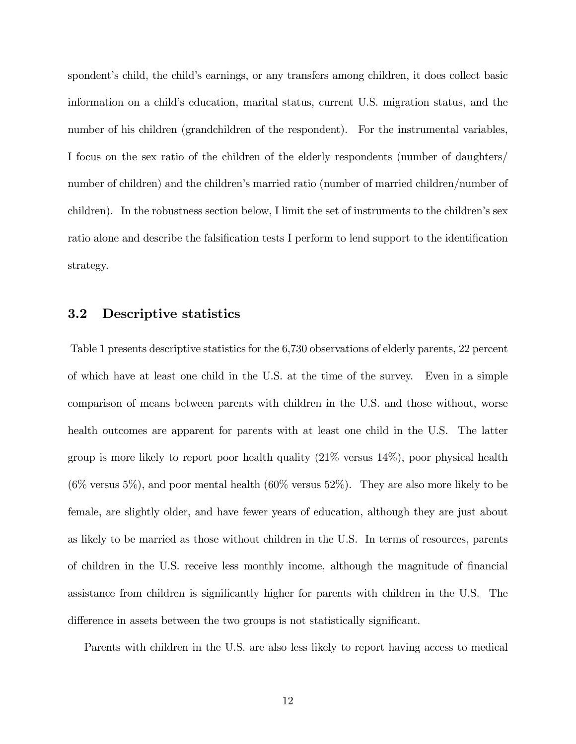spondent's child, the child's earnings, or any transfers among children, it does collect basic information on a child's education, marital status, current U.S. migration status, and the number of his children (grandchildren of the respondent). For the instrumental variables, I focus on the sex ratio of the children of the elderly respondents (number of daughters/ number of children) and the children's married ratio (number of married children/number of children). In the robustness section below, I limit the set of instruments to the children's sex ratio alone and describe the falsification tests I perform to lend support to the identification strategy.

#### 3.2 Descriptive statistics

Table 1 presents descriptive statistics for the 6,730 observations of elderly parents, 22 percent of which have at least one child in the U.S. at the time of the survey. Even in a simple comparison of means between parents with children in the U.S. and those without, worse health outcomes are apparent for parents with at least one child in the U.S. The latter group is more likely to report poor health quality (21% versus 14%), poor physical health  $(6\%$  versus 5%), and poor mental health  $(60\%$  versus 52%). They are also more likely to be female, are slightly older, and have fewer years of education, although they are just about as likely to be married as those without children in the U.S. In terms of resources, parents of children in the U.S. receive less monthly income, although the magnitude of Önancial assistance from children is significantly higher for parents with children in the U.S. The difference in assets between the two groups is not statistically significant.

Parents with children in the U.S. are also less likely to report having access to medical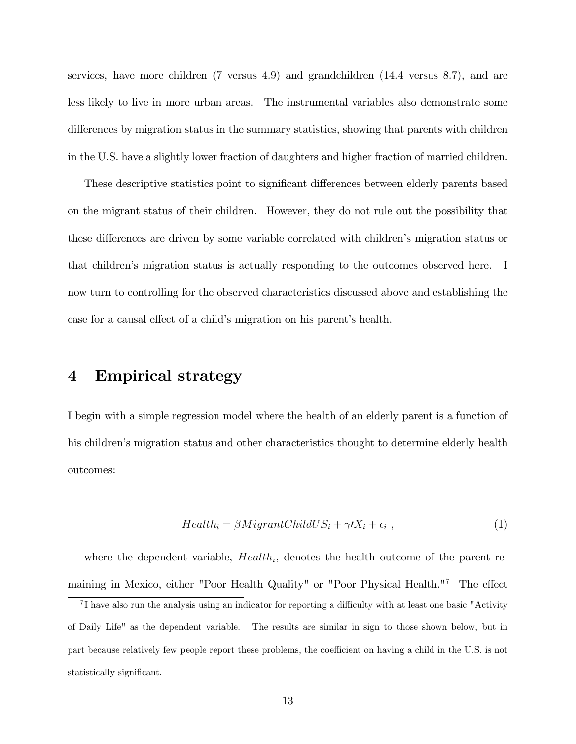services, have more children (7 versus 4.9) and grandchildren (14.4 versus 8.7), and are less likely to live in more urban areas. The instrumental variables also demonstrate some differences by migration status in the summary statistics, showing that parents with children in the U.S. have a slightly lower fraction of daughters and higher fraction of married children.

These descriptive statistics point to significant differences between elderly parents based on the migrant status of their children. However, they do not rule out the possibility that these differences are driven by some variable correlated with children's migration status or that childrenís migration status is actually responding to the outcomes observed here. I now turn to controlling for the observed characteristics discussed above and establishing the case for a causal effect of a child's migration on his parent's health.

### 4 Empirical strategy

I begin with a simple regression model where the health of an elderly parent is a function of his children's migration status and other characteristics thought to determine elderly health outcomes:

$$
Health_i = \beta MigrantChildUS_i + \gamma/X_i + \epsilon_i , \qquad (1)
$$

where the dependent variable,  $Health_i$ , denotes the health outcome of the parent remaining in Mexico, either "Poor Health Quality" or "Poor Physical Health."<sup>7</sup> The effect

 ${}^{7}$ I have also run the analysis using an indicator for reporting a difficulty with at least one basic "Activity" of Daily Life" as the dependent variable. The results are similar in sign to those shown below, but in part because relatively few people report these problems, the coefficient on having a child in the U.S. is not statistically significant.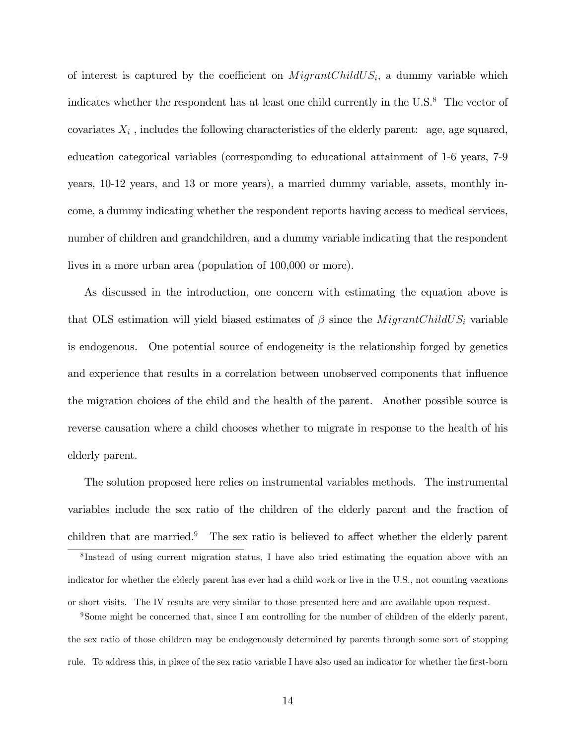of interest is captured by the coefficient on  $MigrantChildUS_i$ , a dummy variable which indicates whether the respondent has at least one child currently in the  $U.S.^8$  The vector of covariates  $X_i$ , includes the following characteristics of the elderly parent: age, age squared, education categorical variables (corresponding to educational attainment of 1-6 years, 7-9 years, 10-12 years, and 13 or more years), a married dummy variable, assets, monthly income, a dummy indicating whether the respondent reports having access to medical services, number of children and grandchildren, and a dummy variable indicating that the respondent lives in a more urban area (population of 100,000 or more).

As discussed in the introduction, one concern with estimating the equation above is that OLS estimation will yield biased estimates of  $\beta$  since the *MigrantChildUS<sub>i</sub>* variable is endogenous. One potential source of endogeneity is the relationship forged by genetics and experience that results in a correlation between unobserved components that influence the migration choices of the child and the health of the parent. Another possible source is reverse causation where a child chooses whether to migrate in response to the health of his elderly parent.

The solution proposed here relies on instrumental variables methods. The instrumental variables include the sex ratio of the children of the elderly parent and the fraction of children that are married.<sup>9</sup> The sex ratio is believed to affect whether the elderly parent

<sup>8</sup>Instead of using current migration status, I have also tried estimating the equation above with an indicator for whether the elderly parent has ever had a child work or live in the U.S., not counting vacations or short visits. The IV results are very similar to those presented here and are available upon request.

<sup>9</sup>Some might be concerned that, since I am controlling for the number of children of the elderly parent, the sex ratio of those children may be endogenously determined by parents through some sort of stopping rule. To address this, in place of the sex ratio variable I have also used an indicator for whether the first-born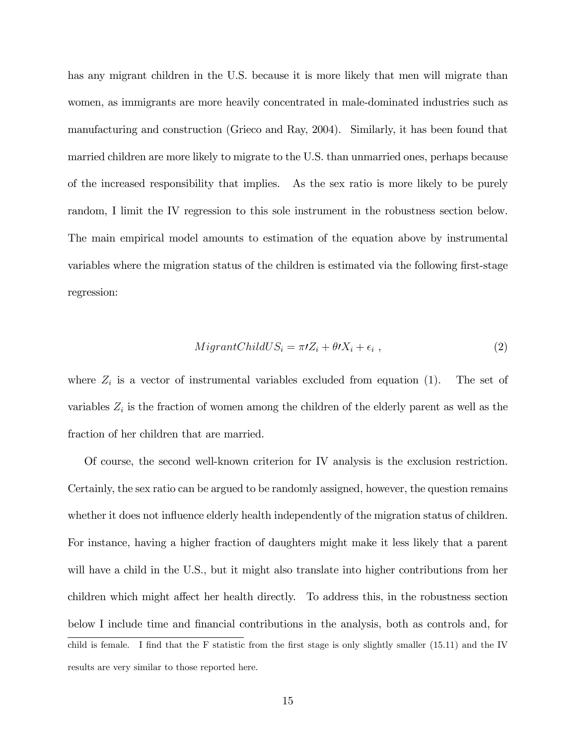has any migrant children in the U.S. because it is more likely that men will migrate than women, as immigrants are more heavily concentrated in male-dominated industries such as manufacturing and construction (Grieco and Ray, 2004). Similarly, it has been found that married children are more likely to migrate to the U.S. than unmarried ones, perhaps because of the increased responsibility that implies. As the sex ratio is more likely to be purely random, I limit the IV regression to this sole instrument in the robustness section below. The main empirical model amounts to estimation of the equation above by instrumental variables where the migration status of the children is estimated via the following first-stage regression:

$$
MigrantChildUS_i = \pi i Z_i + \theta i X_i + \epsilon_i , \qquad (2)
$$

where  $Z_i$  is a vector of instrumental variables excluded from equation (1). The set of variables  $Z_i$  is the fraction of women among the children of the elderly parent as well as the fraction of her children that are married.

Of course, the second well-known criterion for IV analysis is the exclusion restriction. Certainly, the sex ratio can be argued to be randomly assigned, however, the question remains whether it does not influence elderly health independently of the migration status of children. For instance, having a higher fraction of daughters might make it less likely that a parent will have a child in the U.S., but it might also translate into higher contributions from her children which might affect her health directly. To address this, in the robustness section below I include time and financial contributions in the analysis, both as controls and, for child is female. I find that the F statistic from the first stage is only slightly smaller (15.11) and the IV results are very similar to those reported here.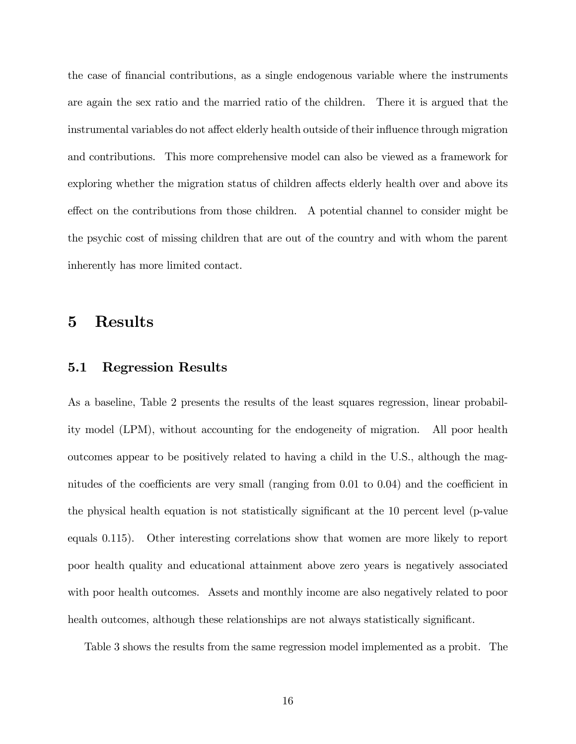the case of financial contributions, as a single endogenous variable where the instruments are again the sex ratio and the married ratio of the children. There it is argued that the instrumental variables do not affect elderly health outside of their influence through migration and contributions. This more comprehensive model can also be viewed as a framework for exploring whether the migration status of children affects elderly health over and above its effect on the contributions from those children. A potential channel to consider might be the psychic cost of missing children that are out of the country and with whom the parent inherently has more limited contact.

### 5 Results

#### 5.1 Regression Results

As a baseline, Table 2 presents the results of the least squares regression, linear probability model (LPM), without accounting for the endogeneity of migration. All poor health outcomes appear to be positively related to having a child in the U.S., although the magnitudes of the coefficients are very small (ranging from  $0.01$  to  $0.04$ ) and the coefficient in the physical health equation is not statistically significant at the 10 percent level (p-value equals 0.115). Other interesting correlations show that women are more likely to report poor health quality and educational attainment above zero years is negatively associated with poor health outcomes. Assets and monthly income are also negatively related to poor health outcomes, although these relationships are not always statistically significant.

Table 3 shows the results from the same regression model implemented as a probit. The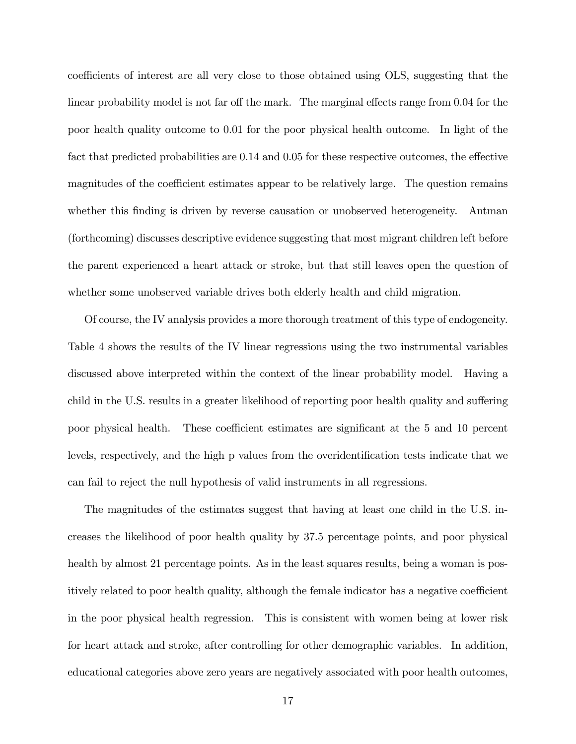coefficients of interest are all very close to those obtained using OLS, suggesting that the linear probability model is not far off the mark. The marginal effects range from 0.04 for the poor health quality outcome to 0.01 for the poor physical health outcome. In light of the fact that predicted probabilities are  $0.14$  and  $0.05$  for these respective outcomes, the effective magnitudes of the coefficient estimates appear to be relatively large. The question remains whether this finding is driven by reverse causation or unobserved heterogeneity. Antman (forthcoming) discusses descriptive evidence suggesting that most migrant children left before the parent experienced a heart attack or stroke, but that still leaves open the question of whether some unobserved variable drives both elderly health and child migration.

Of course, the IV analysis provides a more thorough treatment of this type of endogeneity. Table 4 shows the results of the IV linear regressions using the two instrumental variables discussed above interpreted within the context of the linear probability model. Having a child in the U.S. results in a greater likelihood of reporting poor health quality and suffering poor physical health. These coefficient estimates are significant at the 5 and 10 percent levels, respectively, and the high p values from the overidentification tests indicate that we can fail to reject the null hypothesis of valid instruments in all regressions.

The magnitudes of the estimates suggest that having at least one child in the U.S. increases the likelihood of poor health quality by 37.5 percentage points, and poor physical health by almost 21 percentage points. As in the least squares results, being a woman is positively related to poor health quality, although the female indicator has a negative coefficient in the poor physical health regression. This is consistent with women being at lower risk for heart attack and stroke, after controlling for other demographic variables. In addition, educational categories above zero years are negatively associated with poor health outcomes,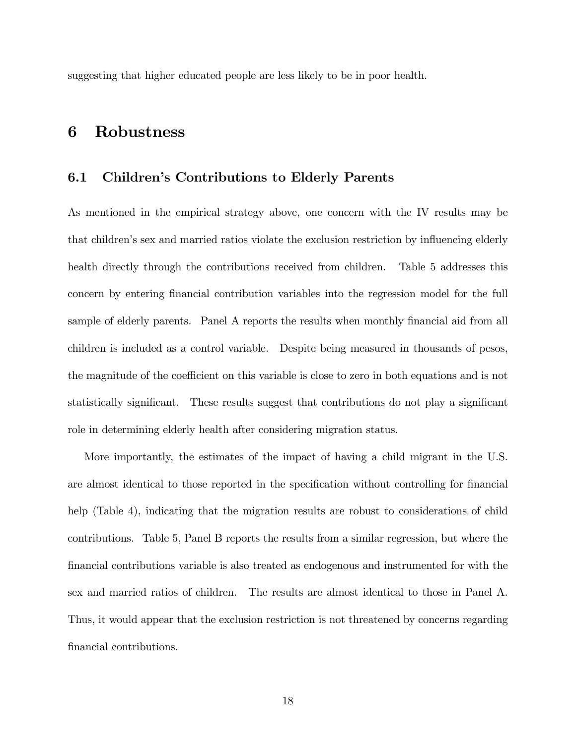suggesting that higher educated people are less likely to be in poor health.

## 6 Robustness

#### 6.1 Children's Contributions to Elderly Parents

As mentioned in the empirical strategy above, one concern with the IV results may be that children's sex and married ratios violate the exclusion restriction by influencing elderly health directly through the contributions received from children. Table 5 addresses this concern by entering Önancial contribution variables into the regression model for the full sample of elderly parents. Panel A reports the results when monthly financial aid from all children is included as a control variable. Despite being measured in thousands of pesos, the magnitude of the coefficient on this variable is close to zero in both equations and is not statistically significant. These results suggest that contributions do not play a significant role in determining elderly health after considering migration status.

More importantly, the estimates of the impact of having a child migrant in the U.S. are almost identical to those reported in the specification without controlling for financial help (Table 4), indicating that the migration results are robust to considerations of child contributions. Table 5, Panel B reports the results from a similar regression, but where the Önancial contributions variable is also treated as endogenous and instrumented for with the sex and married ratios of children. The results are almost identical to those in Panel A. Thus, it would appear that the exclusion restriction is not threatened by concerns regarding financial contributions.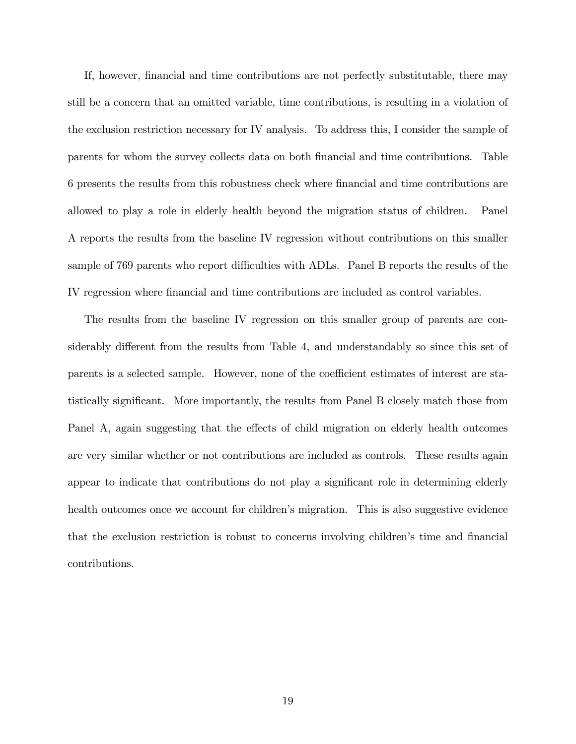If, however, financial and time contributions are not perfectly substitutable, there may still be a concern that an omitted variable, time contributions, is resulting in a violation of the exclusion restriction necessary for IV analysis. To address this, I consider the sample of parents for whom the survey collects data on both Önancial and time contributions. Table 6 presents the results from this robustness check where Önancial and time contributions are allowed to play a role in elderly health beyond the migration status of children. Panel A reports the results from the baseline IV regression without contributions on this smaller sample of 769 parents who report difficulties with ADLs. Panel B reports the results of the IV regression where Önancial and time contributions are included as control variables.

The results from the baseline IV regression on this smaller group of parents are considerably different from the results from Table 4, and understandably so since this set of parents is a selected sample. However, none of the coefficient estimates of interest are statistically significant. More importantly, the results from Panel B closely match those from Panel A, again suggesting that the effects of child migration on elderly health outcomes are very similar whether or not contributions are included as controls. These results again appear to indicate that contributions do not play a significant role in determining elderly health outcomes once we account for children's migration. This is also suggestive evidence that the exclusion restriction is robust to concerns involving children's time and financial contributions.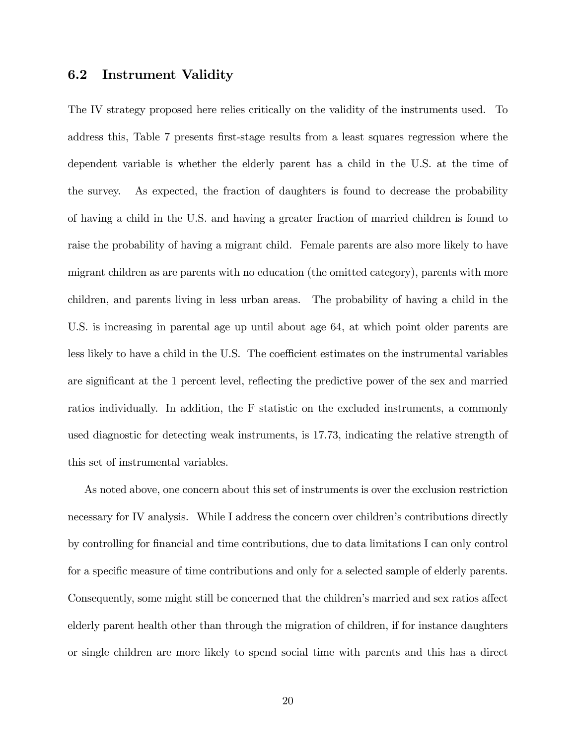#### 6.2 Instrument Validity

The IV strategy proposed here relies critically on the validity of the instruments used. To address this, Table 7 presents first-stage results from a least squares regression where the dependent variable is whether the elderly parent has a child in the U.S. at the time of the survey. As expected, the fraction of daughters is found to decrease the probability of having a child in the U.S. and having a greater fraction of married children is found to raise the probability of having a migrant child. Female parents are also more likely to have migrant children as are parents with no education (the omitted category), parents with more children, and parents living in less urban areas. The probability of having a child in the U.S. is increasing in parental age up until about age 64, at which point older parents are less likely to have a child in the U.S. The coefficient estimates on the instrumental variables are significant at the 1 percent level, reflecting the predictive power of the sex and married ratios individually. In addition, the F statistic on the excluded instruments, a commonly used diagnostic for detecting weak instruments, is 17.73, indicating the relative strength of this set of instrumental variables.

As noted above, one concern about this set of instruments is over the exclusion restriction necessary for IV analysis. While I address the concern over children's contributions directly by controlling for Önancial and time contributions, due to data limitations I can only control for a specific measure of time contributions and only for a selected sample of elderly parents. Consequently, some might still be concerned that the children's married and sex ratios affect elderly parent health other than through the migration of children, if for instance daughters or single children are more likely to spend social time with parents and this has a direct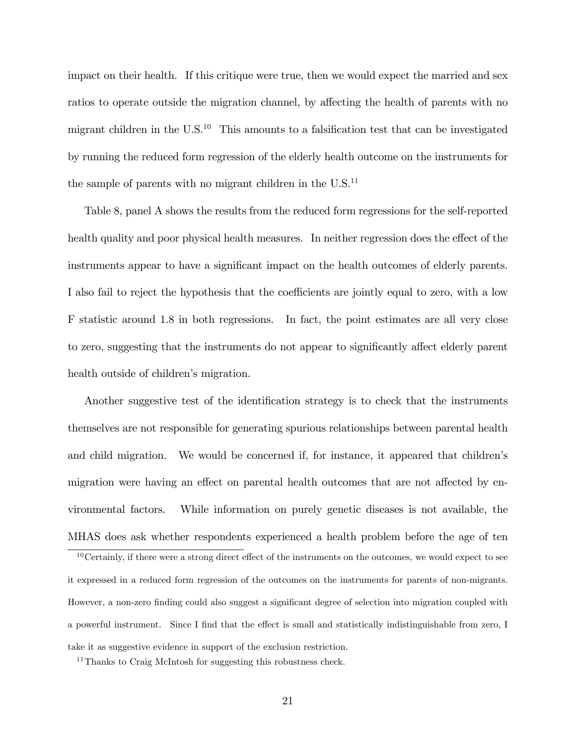impact on their health. If this critique were true, then we would expect the married and sex ratios to operate outside the migration channel, by affecting the health of parents with no migrant children in the  $U.S.<sup>10</sup>$  This amounts to a falsification test that can be investigated by running the reduced form regression of the elderly health outcome on the instruments for the sample of parents with no migrant children in the  $U.S.<sup>11</sup>$ 

Table 8, panel A shows the results from the reduced form regressions for the self-reported health quality and poor physical health measures. In neither regression does the effect of the instruments appear to have a significant impact on the health outcomes of elderly parents. I also fail to reject the hypothesis that the coefficients are jointly equal to zero, with a low F statistic around 1.8 in both regressions. In fact, the point estimates are all very close to zero, suggesting that the instruments do not appear to significantly affect elderly parent health outside of children's migration.

Another suggestive test of the identification strategy is to check that the instruments themselves are not responsible for generating spurious relationships between parental health and child migration. We would be concerned if, for instance, it appeared that children's migration were having an effect on parental health outcomes that are not affected by environmental factors. While information on purely genetic diseases is not available, the MHAS does ask whether respondents experienced a health problem before the age of ten

 $10$ Certainly, if there were a strong direct effect of the instruments on the outcomes, we would expect to see it expressed in a reduced form regression of the outcomes on the instruments for parents of non-migrants. However, a non-zero finding could also suggest a significant degree of selection into migration coupled with a powerful instrument. Since I find that the effect is small and statistically indistinguishable from zero, I take it as suggestive evidence in support of the exclusion restriction.

<sup>&</sup>lt;sup>11</sup>Thanks to Craig McIntosh for suggesting this robustness check.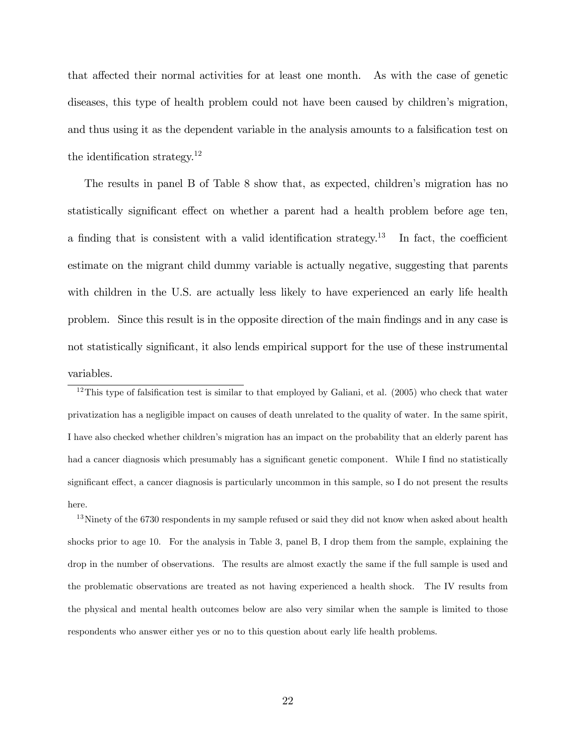that affected their normal activities for at least one month. As with the case of genetic diseases, this type of health problem could not have been caused by children's migration, and thus using it as the dependent variable in the analysis amounts to a falsification test on the identification strategy.<sup>12</sup>

The results in panel B of Table 8 show that, as expected, children's migration has no statistically significant effect on whether a parent had a health problem before age ten, a finding that is consistent with a valid identification strategy.<sup>13</sup> In fact, the coefficient estimate on the migrant child dummy variable is actually negative, suggesting that parents with children in the U.S. are actually less likely to have experienced an early life health problem. Since this result is in the opposite direction of the main Öndings and in any case is not statistically significant, it also lends empirical support for the use of these instrumental variables.

 $12$ This type of falsification test is similar to that employed by Galiani, et al. (2005) who check that water privatization has a negligible impact on causes of death unrelated to the quality of water. In the same spirit, I have also checked whether childrenís migration has an impact on the probability that an elderly parent has had a cancer diagnosis which presumably has a significant genetic component. While I find no statistically significant effect, a cancer diagnosis is particularly uncommon in this sample, so I do not present the results here.

 $13$ Ninety of the 6730 respondents in my sample refused or said they did not know when asked about health shocks prior to age 10. For the analysis in Table 3, panel B, I drop them from the sample, explaining the drop in the number of observations. The results are almost exactly the same if the full sample is used and the problematic observations are treated as not having experienced a health shock. The IV results from the physical and mental health outcomes below are also very similar when the sample is limited to those respondents who answer either yes or no to this question about early life health problems.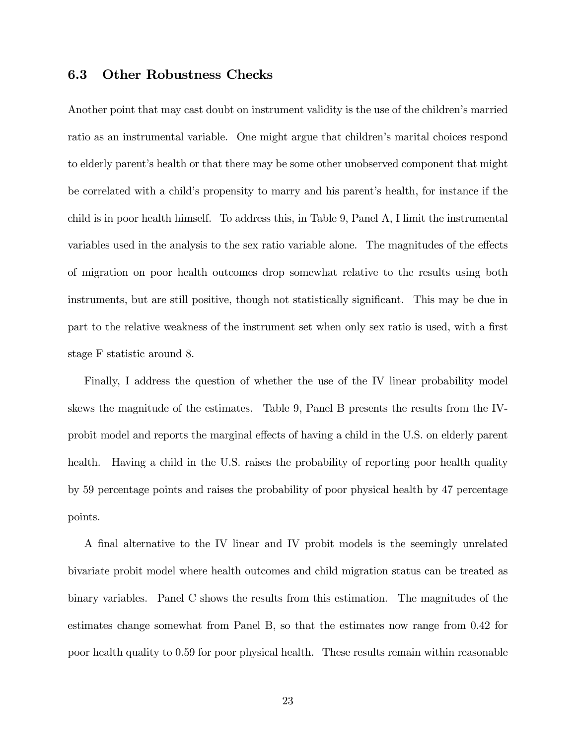#### 6.3 Other Robustness Checks

Another point that may cast doubt on instrument validity is the use of the children's married ratio as an instrumental variable. One might argue that children's marital choices respond to elderly parent's health or that there may be some other unobserved component that might be correlated with a child's propensity to marry and his parent's health, for instance if the child is in poor health himself. To address this, in Table 9, Panel A, I limit the instrumental variables used in the analysis to the sex ratio variable alone. The magnitudes of the effects of migration on poor health outcomes drop somewhat relative to the results using both instruments, but are still positive, though not statistically significant. This may be due in part to the relative weakness of the instrument set when only sex ratio is used, with a first stage F statistic around 8.

Finally, I address the question of whether the use of the IV linear probability model skews the magnitude of the estimates. Table 9, Panel B presents the results from the IVprobit model and reports the marginal effects of having a child in the U.S. on elderly parent health. Having a child in the U.S. raises the probability of reporting poor health quality by 59 percentage points and raises the probability of poor physical health by 47 percentage points.

A Önal alternative to the IV linear and IV probit models is the seemingly unrelated bivariate probit model where health outcomes and child migration status can be treated as binary variables. Panel C shows the results from this estimation. The magnitudes of the estimates change somewhat from Panel B, so that the estimates now range from 0.42 for poor health quality to 0.59 for poor physical health. These results remain within reasonable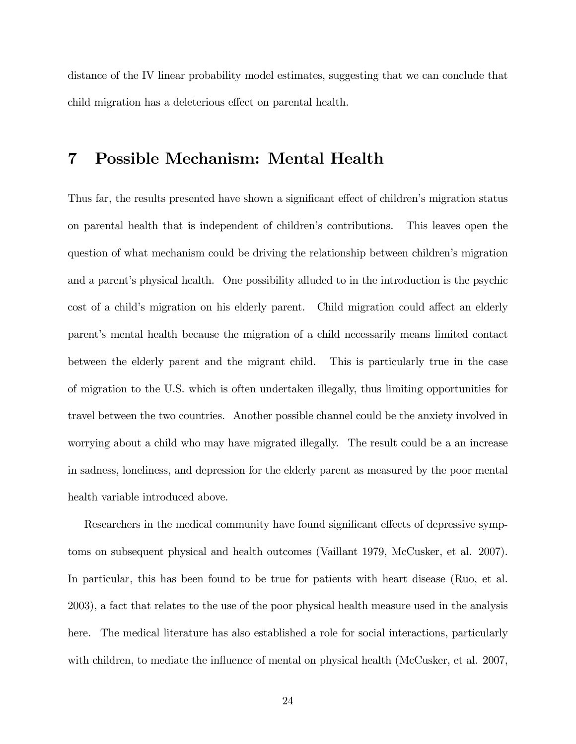distance of the IV linear probability model estimates, suggesting that we can conclude that child migration has a deleterious effect on parental health.

### 7 Possible Mechanism: Mental Health

Thus far, the results presented have shown a significant effect of children's migration status on parental health that is independent of children's contributions. This leaves open the question of what mechanism could be driving the relationship between children's migration and a parent's physical health. One possibility alluded to in the introduction is the psychic cost of a child's migration on his elderly parent. Child migration could affect an elderly parentís mental health because the migration of a child necessarily means limited contact between the elderly parent and the migrant child. This is particularly true in the case of migration to the U.S. which is often undertaken illegally, thus limiting opportunities for travel between the two countries. Another possible channel could be the anxiety involved in worrying about a child who may have migrated illegally. The result could be a an increase in sadness, loneliness, and depression for the elderly parent as measured by the poor mental health variable introduced above.

Researchers in the medical community have found significant effects of depressive symptoms on subsequent physical and health outcomes (Vaillant 1979, McCusker, et al. 2007). In particular, this has been found to be true for patients with heart disease (Ruo, et al. 2003), a fact that relates to the use of the poor physical health measure used in the analysis here. The medical literature has also established a role for social interactions, particularly with children, to mediate the influence of mental on physical health (McCusker, et al. 2007,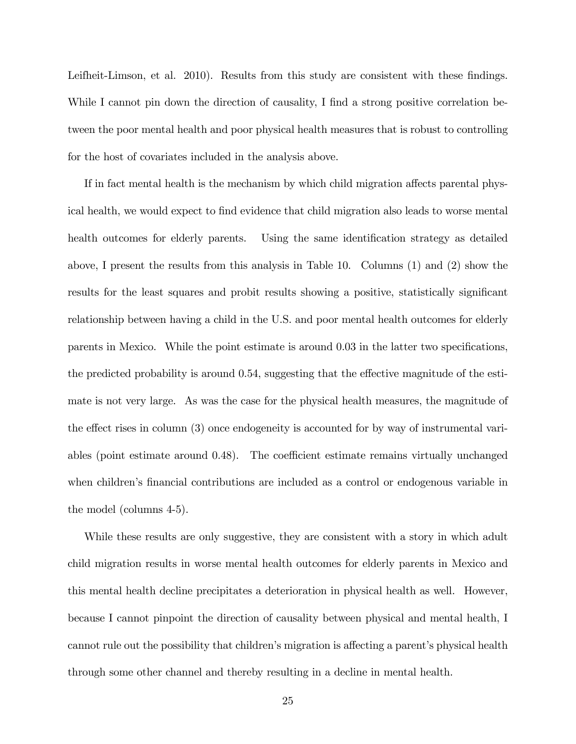Leifheit-Limson, et al. 2010). Results from this study are consistent with these findings. While I cannot pin down the direction of causality, I find a strong positive correlation between the poor mental health and poor physical health measures that is robust to controlling for the host of covariates included in the analysis above.

If in fact mental health is the mechanism by which child migration affects parental physical health, we would expect to Önd evidence that child migration also leads to worse mental health outcomes for elderly parents. Using the same identification strategy as detailed above, I present the results from this analysis in Table 10. Columns (1) and (2) show the results for the least squares and probit results showing a positive, statistically significant relationship between having a child in the U.S. and poor mental health outcomes for elderly parents in Mexico. While the point estimate is around  $0.03$  in the latter two specifications, the predicted probability is around  $0.54$ , suggesting that the effective magnitude of the estimate is not very large. As was the case for the physical health measures, the magnitude of the effect rises in column  $(3)$  once endogeneity is accounted for by way of instrumental variables (point estimate around  $(0.48)$ . The coefficient estimate remains virtually unchanged when children's financial contributions are included as a control or endogenous variable in the model (columns 4-5).

While these results are only suggestive, they are consistent with a story in which adult child migration results in worse mental health outcomes for elderly parents in Mexico and this mental health decline precipitates a deterioration in physical health as well. However, because I cannot pinpoint the direction of causality between physical and mental health, I cannot rule out the possibility that children's migration is affecting a parent's physical health through some other channel and thereby resulting in a decline in mental health.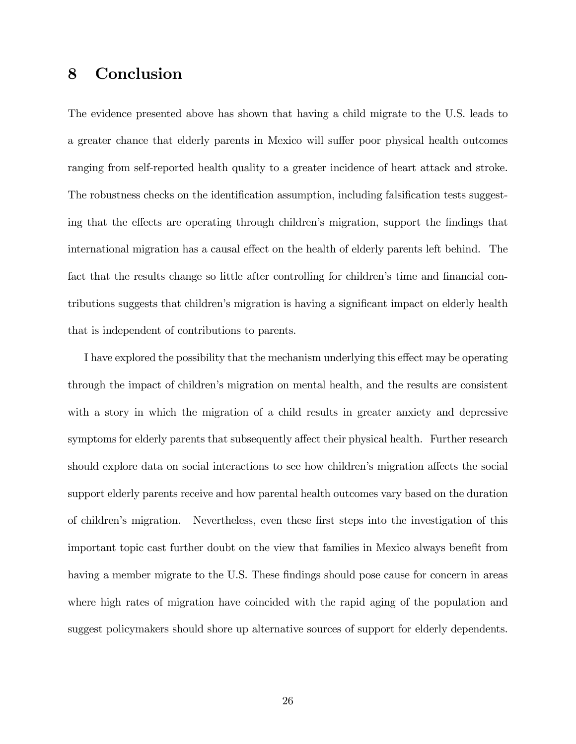# 8 Conclusion

The evidence presented above has shown that having a child migrate to the U.S. leads to a greater chance that elderly parents in Mexico will suffer poor physical health outcomes ranging from self-reported health quality to a greater incidence of heart attack and stroke. The robustness checks on the identification assumption, including falsification tests suggesting that the effects are operating through children's migration, support the findings that international migration has a causal effect on the health of elderly parents left behind. The fact that the results change so little after controlling for children's time and financial contributions suggests that children's migration is having a significant impact on elderly health that is independent of contributions to parents.

I have explored the possibility that the mechanism underlying this effect may be operating through the impact of children's migration on mental health, and the results are consistent with a story in which the migration of a child results in greater anxiety and depressive symptoms for elderly parents that subsequently affect their physical health. Further research should explore data on social interactions to see how children's migration affects the social support elderly parents receive and how parental health outcomes vary based on the duration of childrenís migration. Nevertheless, even these Örst steps into the investigation of this important topic cast further doubt on the view that families in Mexico always benefit from having a member migrate to the U.S. These findings should pose cause for concern in areas where high rates of migration have coincided with the rapid aging of the population and suggest policymakers should shore up alternative sources of support for elderly dependents.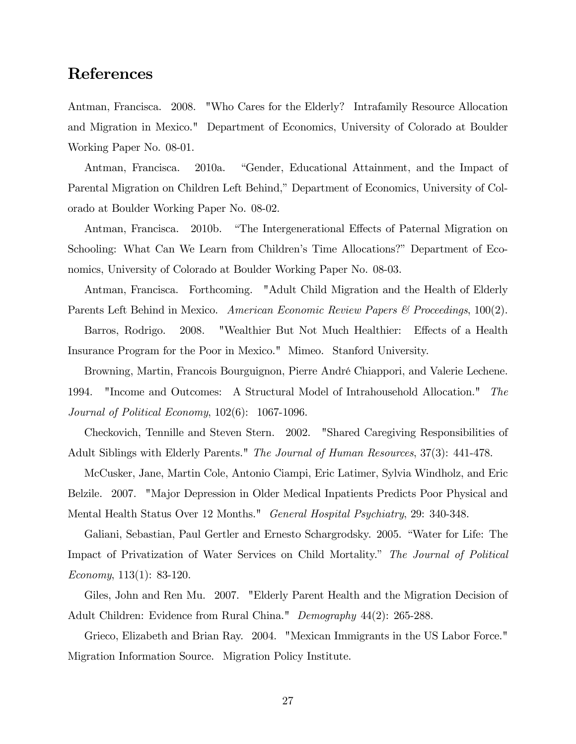## References

Antman, Francisca. 2008. "Who Cares for the Elderly? Intrafamily Resource Allocation and Migration in Mexico." Department of Economics, University of Colorado at Boulder Working Paper No. 08-01.

Antman, Francisca. 2010a. "Gender, Educational Attainment, and the Impact of Parental Migration on Children Left Behind," Department of Economics, University of Colorado at Boulder Working Paper No. 08-02.

Antman, Francisca. 2010b. "The Intergenerational Effects of Paternal Migration on Schooling: What Can We Learn from Children's Time Allocations?" Department of Economics, University of Colorado at Boulder Working Paper No. 08-03.

Antman, Francisca. Forthcoming. "Adult Child Migration and the Health of Elderly Parents Left Behind in Mexico. American Economic Review Papers & Proceedings, 100(2).

Barros, Rodrigo. 2008. "Wealthier But Not Much Healthier: Effects of a Health Insurance Program for the Poor in Mexico." Mimeo. Stanford University.

Browning, Martin, Francois Bourguignon, Pierre André Chiappori, and Valerie Lechene. 1994. "Income and Outcomes: A Structural Model of Intrahousehold Allocation." The Journal of Political Economy, 102(6): 1067-1096.

Checkovich, Tennille and Steven Stern. 2002. "Shared Caregiving Responsibilities of Adult Siblings with Elderly Parents." The Journal of Human Resources, 37(3): 441-478.

McCusker, Jane, Martin Cole, Antonio Ciampi, Eric Latimer, Sylvia Windholz, and Eric Belzile. 2007. "Major Depression in Older Medical Inpatients Predicts Poor Physical and Mental Health Status Over 12 Months." General Hospital Psychiatry, 29: 340-348.

Galiani, Sebastian, Paul Gertler and Ernesto Schargrodsky. 2005. "Water for Life: The Impact of Privatization of Water Services on Child Mortality." The Journal of Political Economy, 113(1): 83-120.

Giles, John and Ren Mu. 2007. "Elderly Parent Health and the Migration Decision of Adult Children: Evidence from Rural China." Demography 44(2): 265-288.

Grieco, Elizabeth and Brian Ray. 2004. "Mexican Immigrants in the US Labor Force." Migration Information Source. Migration Policy Institute.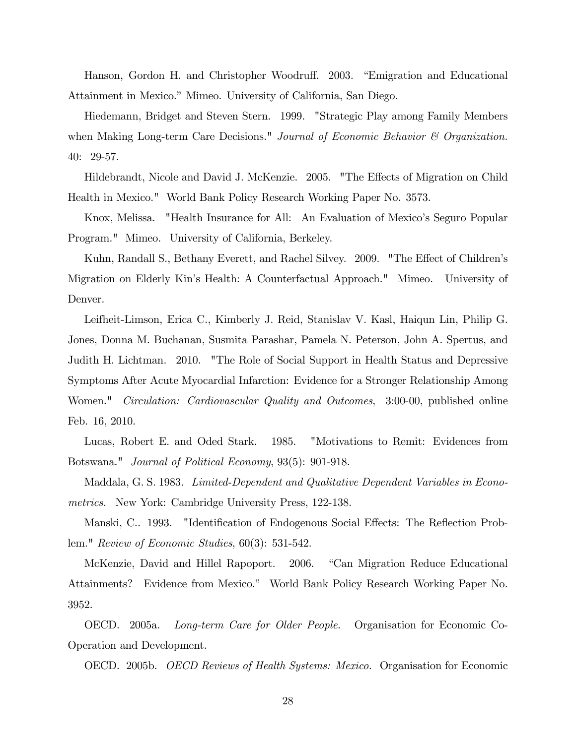Hanson, Gordon H. and Christopher Woodruff. 2003. "Emigration and Educational Attainment in Mexico." Mimeo. University of California, San Diego.

Hiedemann, Bridget and Steven Stern. 1999. "Strategic Play among Family Members when Making Long-term Care Decisions." Journal of Economic Behavior  $\mathcal B$  Organization. 40: 29-57.

Hildebrandt, Nicole and David J. McKenzie. 2005. "The Effects of Migration on Child Health in Mexico." World Bank Policy Research Working Paper No. 3573.

Knox, Melissa. "Health Insurance for All: An Evaluation of Mexico's Seguro Popular Program." Mimeo. University of California, Berkeley.

Kuhn, Randall S., Bethany Everett, and Rachel Silvey. 2009. "The Effect of Children's Migration on Elderly Kinís Health: A Counterfactual Approach." Mimeo. University of Denver.

Leifheit-Limson, Erica C., Kimberly J. Reid, Stanislav V. Kasl, Haiqun Lin, Philip G. Jones, Donna M. Buchanan, Susmita Parashar, Pamela N. Peterson, John A. Spertus, and Judith H. Lichtman. 2010. "The Role of Social Support in Health Status and Depressive Symptoms After Acute Myocardial Infarction: Evidence for a Stronger Relationship Among Women." *Circulation: Cardiovascular Quality and Outcomes*, 3:00-00, published online Feb. 16, 2010.

Lucas, Robert E. and Oded Stark. 1985. "Motivations to Remit: Evidences from Botswana." Journal of Political Economy, 93(5): 901-918.

Maddala, G. S. 1983. Limited-Dependent and Qualitative Dependent Variables in Econometrics. New York: Cambridge University Press, 122-138.

Manski, C.. 1993. "Identification of Endogenous Social Effects: The Reflection Problem." Review of Economic Studies, 60(3): 531-542.

McKenzie, David and Hillel Rapoport. 2006. "Can Migration Reduce Educational Attainments? Evidence from Mexico." World Bank Policy Research Working Paper No. 3952.

OECD. 2005a. Long-term Care for Older People. Organisation for Economic Co-Operation and Development.

OECD. 2005b. OECD Reviews of Health Systems: Mexico. Organisation for Economic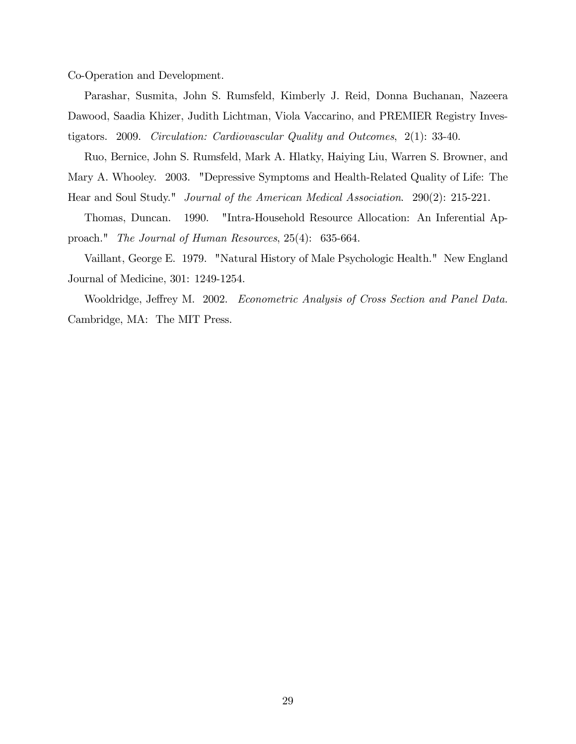Co-Operation and Development.

Parashar, Susmita, John S. Rumsfeld, Kimberly J. Reid, Donna Buchanan, Nazeera Dawood, Saadia Khizer, Judith Lichtman, Viola Vaccarino, and PREMIER Registry Investigators. 2009. Circulation: Cardiovascular Quality and Outcomes, 2(1): 33-40.

Ruo, Bernice, John S. Rumsfeld, Mark A. Hlatky, Haiying Liu, Warren S. Browner, and Mary A. Whooley. 2003. "Depressive Symptoms and Health-Related Quality of Life: The Hear and Soul Study." Journal of the American Medical Association. 290(2): 215-221.

Thomas, Duncan. 1990. "Intra-Household Resource Allocation: An Inferential Approach." The Journal of Human Resources, 25(4): 635-664.

Vaillant, George E. 1979. "Natural History of Male Psychologic Health." New England Journal of Medicine, 301: 1249-1254.

Wooldridge, Jeffrey M. 2002. Econometric Analysis of Cross Section and Panel Data. Cambridge, MA: The MIT Press.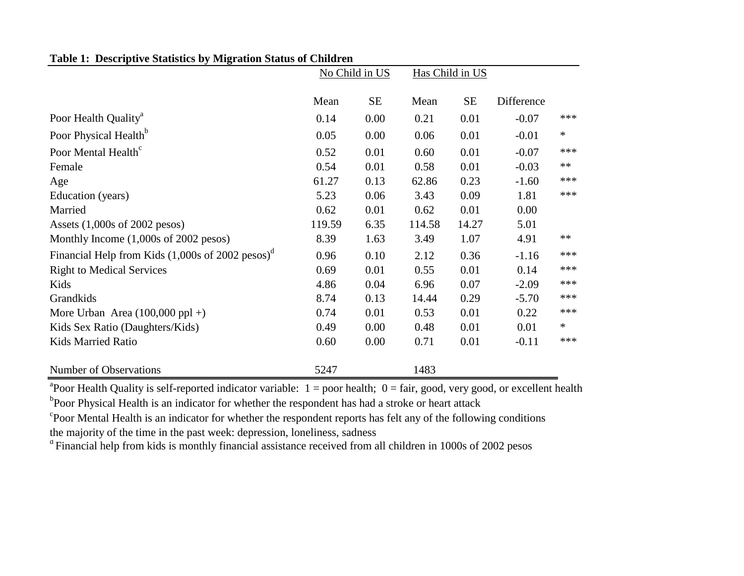| Table 1: Descriptive Statistics by Migration Status of Children |  |  |
|-----------------------------------------------------------------|--|--|
|                                                                 |  |  |

|                                                                              | No Child in US |           |        | Has Child in US |            |        |
|------------------------------------------------------------------------------|----------------|-----------|--------|-----------------|------------|--------|
|                                                                              | Mean           | <b>SE</b> | Mean   | <b>SE</b>       | Difference |        |
| Poor Health Quality <sup>a</sup>                                             | 0.14           | 0.00      | 0.21   | 0.01            | $-0.07$    | ***    |
| Poor Physical Health <sup>b</sup>                                            | 0.05           | 0.00      | 0.06   | 0.01            | $-0.01$    | $\ast$ |
| Poor Mental Health <sup>c</sup>                                              | 0.52           | 0.01      | 0.60   | 0.01            | $-0.07$    | ***    |
| Female                                                                       | 0.54           | 0.01      | 0.58   | 0.01            | $-0.03$    | $**$   |
| Age                                                                          | 61.27          | 0.13      | 62.86  | 0.23            | $-1.60$    | ***    |
| Education (years)                                                            | 5.23           | 0.06      | 3.43   | 0.09            | 1.81       | ***    |
| Married                                                                      | 0.62           | 0.01      | 0.62   | 0.01            | 0.00       |        |
| Assets $(1,000s$ of 2002 pesos)                                              | 119.59         | 6.35      | 114.58 | 14.27           | 5.01       |        |
| Monthly Income $(1,000s$ of 2002 pesos)                                      | 8.39           | 1.63      | 3.49   | 1.07            | 4.91       | $**$   |
| Financial Help from Kids $(1,000s)$ of 2002 pesos) <sup><math>d</math></sup> | 0.96           | 0.10      | 2.12   | 0.36            | $-1.16$    | ***    |
| <b>Right to Medical Services</b>                                             | 0.69           | 0.01      | 0.55   | 0.01            | 0.14       | ***    |
| Kids                                                                         | 4.86           | 0.04      | 6.96   | 0.07            | $-2.09$    | ***    |
| Grandkids                                                                    | 8.74           | 0.13      | 14.44  | 0.29            | $-5.70$    | ***    |
| More Urban Area $(100,000 \text{ ppl} + )$                                   | 0.74           | 0.01      | 0.53   | 0.01            | 0.22       | ***    |
| Kids Sex Ratio (Daughters/Kids)                                              | 0.49           | 0.00      | 0.48   | 0.01            | 0.01       | $\ast$ |
| <b>Kids Married Ratio</b>                                                    | 0.60           | 0.00      | 0.71   | 0.01            | $-0.11$    | ***    |
| Number of Observations                                                       | 5247           |           | 1483   |                 |            |        |

<sup>a</sup> Poor Health Quality is self-reported indicator variable:  $1 =$  poor health;  $0 =$  fair, good, very good, or excellent health <sup>b</sup>Poor Physical Health is an indicator for whether the respondent has had a stroke or heart attack

<sup>c</sup>Poor Mental Health is an indicator for whether the respondent reports has felt any of the following conditions the majority of the time in the past week: depression, loneliness, sadness

<sup>d</sup>Financial help from kids is monthly financial assistance received from all children in 1000s of 2002 pesos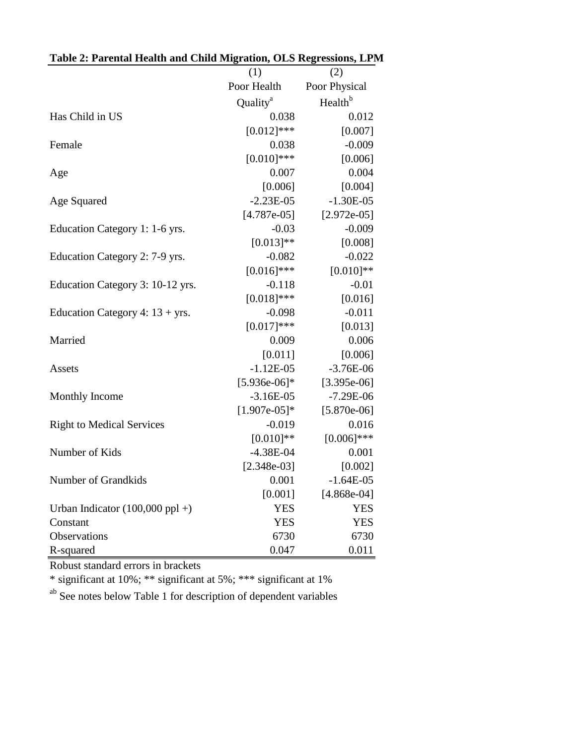| Table 2: Parental Health and Child Migration, OLS Regressions, LPM |                      |                     |
|--------------------------------------------------------------------|----------------------|---------------------|
|                                                                    | (1)                  | (2)                 |
|                                                                    | Poor Health          | Poor Physical       |
|                                                                    | Quality <sup>a</sup> | Health <sup>b</sup> |
| Has Child in US                                                    | 0.038                | 0.012               |
|                                                                    | $[0.012]$ ***        | [0.007]             |
| Female                                                             | 0.038                | $-0.009$            |
|                                                                    | $[0.010]$ ***        | [0.006]             |
| Age                                                                | 0.007                | 0.004               |
|                                                                    | [0.006]              | [0.004]             |
| Age Squared                                                        | $-2.23E-05$          | $-1.30E-05$         |
|                                                                    | $[4.787e-05]$        | $[2.972e-05]$       |
| Education Category 1: 1-6 yrs.                                     | $-0.03$              | $-0.009$            |
|                                                                    | $[0.013]**$          | [0.008]             |
| Education Category 2: 7-9 yrs.                                     | $-0.082$             | $-0.022$            |
|                                                                    | $[0.016]$ ***        | $[0.010]**$         |
| Education Category 3: 10-12 yrs.                                   | $-0.118$             | $-0.01$             |
|                                                                    | $[0.018]$ ***        | [0.016]             |
| Education Category 4: $13 + yrs$ .                                 | $-0.098$             | $-0.011$            |
|                                                                    | $[0.017]***$         | [0.013]             |
| Married                                                            | 0.009                | 0.006               |
|                                                                    | [0.011]              | [0.006]             |
| Assets                                                             | $-1.12E-05$          | $-3.76E-06$         |
|                                                                    | $[5.936e-06]*$       | $[3.395e-06]$       |
| <b>Monthly Income</b>                                              | $-3.16E-05$          | $-7.29E-06$         |
|                                                                    | $[1.907e-05]*$       | $[5.870e-06]$       |
| <b>Right to Medical Services</b>                                   | $-0.019$             | 0.016               |
|                                                                    | $[0.010]**$          | $[0.006]$ ***       |
| Number of Kids                                                     | $-4.38E - 04$        | 0.001               |
|                                                                    | $[2.348e-03]$        | [0.002]             |
| Number of Grandkids                                                | 0.001                | $-1.64E-05$         |
|                                                                    | [0.001]              | $[4.868e-04]$       |
| Urban Indicator $(100,000 \text{ ppl} + )$                         | <b>YES</b>           | <b>YES</b>          |
| Constant                                                           | <b>YES</b>           | <b>YES</b>          |
| Observations                                                       | 6730                 | 6730                |
| R-squared                                                          | 0.047                | 0.011               |

Robust standard errors in brackets

\* significant at 10%; \*\* significant at 5%; \*\*\* significant at 1%

ab See notes below Table 1 for description of dependent variables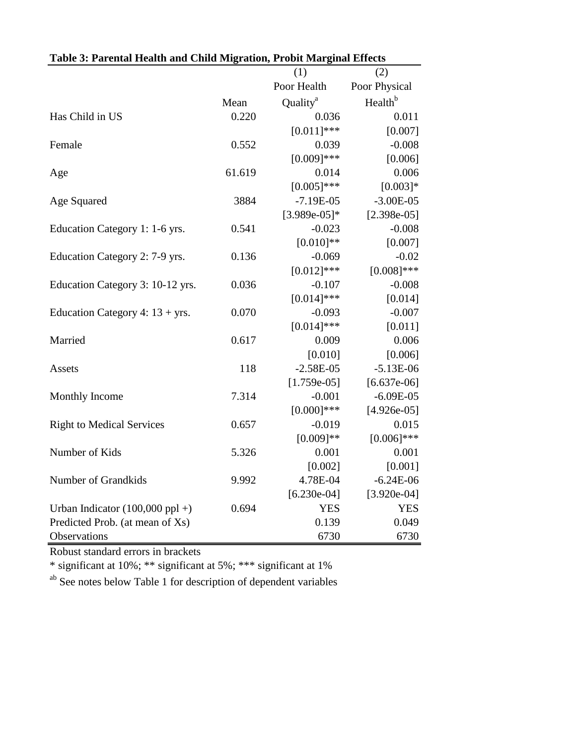|                                            |        | (1)                  | (2)                 |
|--------------------------------------------|--------|----------------------|---------------------|
|                                            |        | Poor Health          | Poor Physical       |
|                                            | Mean   | Quality <sup>a</sup> | Health <sup>b</sup> |
| Has Child in US                            | 0.220  | 0.036                | 0.011               |
|                                            |        | $[0.011]$ ***        | [0.007]             |
| Female                                     | 0.552  | 0.039                | $-0.008$            |
|                                            |        | $[0.009]$ ***        | [0.006]             |
| Age                                        | 61.619 | 0.014                | 0.006               |
|                                            |        | $[0.005]$ ***        | $[0.003]*$          |
| Age Squared                                | 3884   | $-7.19E-05$          | $-3.00E-05$         |
|                                            |        | $[3.989e-05]*$       | $[2.398e-05]$       |
| Education Category 1: 1-6 yrs.             | 0.541  | $-0.023$             | $-0.008$            |
|                                            |        | $[0.010]**$          | [0.007]             |
| Education Category 2: 7-9 yrs.             | 0.136  | $-0.069$             | $-0.02$             |
|                                            |        | $[0.012]$ ***        | $[0.008]$ ***       |
| Education Category 3: 10-12 yrs.           | 0.036  | $-0.107$             | $-0.008$            |
|                                            |        | $[0.014]$ ***        | [0.014]             |
| Education Category 4: $13 + yrs$ .         | 0.070  | $-0.093$             | $-0.007$            |
|                                            |        | $[0.014]$ ***        | [0.011]             |
| Married                                    | 0.617  | 0.009                | 0.006               |
|                                            |        | [0.010]              | [0.006]             |
| <b>Assets</b>                              | 118    | $-2.58E-05$          | $-5.13E-06$         |
|                                            |        | $[1.759e-05]$        | $[6.637e-06]$       |
| Monthly Income                             | 7.314  | $-0.001$             | $-6.09E - 05$       |
|                                            |        | $[0.000]$ ***        | $[4.926e-05]$       |
| <b>Right to Medical Services</b>           | 0.657  | $-0.019$             | 0.015               |
|                                            |        | $[0.009]**$          | $[0.006]$ ***       |
| Number of Kids                             | 5.326  | 0.001                | 0.001               |
|                                            |        | [0.002]              | [0.001]             |
| Number of Grandkids                        | 9.992  | 4.78E-04             | $-6.24E-06$         |
|                                            |        | $[6.230e-04]$        | $[3.920e-04]$       |
| Urban Indicator $(100,000 \text{ ppl} + )$ | 0.694  | <b>YES</b>           | <b>YES</b>          |
| Predicted Prob. (at mean of Xs)            |        | 0.139                | 0.049               |
| Observations                               |        | 6730                 | 6730                |

### **Table 3: Parental Health and Child Migration, Probit Marginal Effects**

Robust standard errors in brackets

\* significant at 10%; \*\* significant at 5%; \*\*\* significant at 1%

ab See notes below Table 1 for description of dependent variables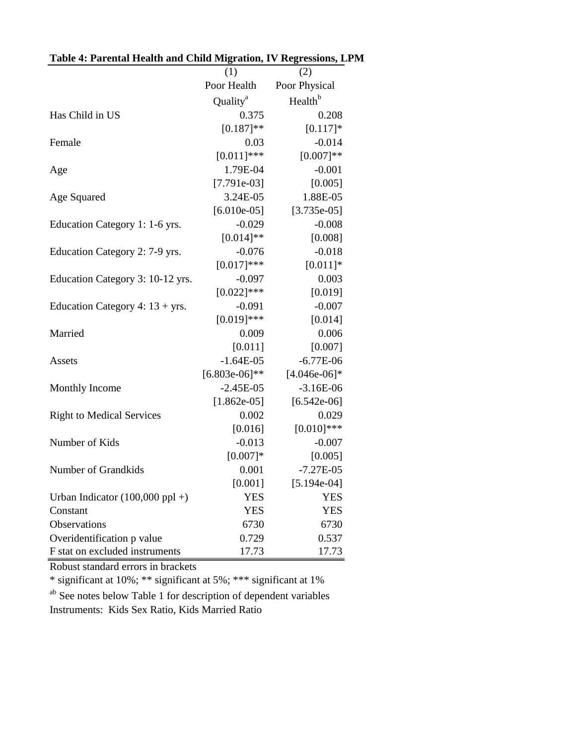|                                    | (1)                  | (2)                 |
|------------------------------------|----------------------|---------------------|
|                                    | Poor Health          | Poor Physical       |
|                                    | Quality <sup>a</sup> | Health <sup>b</sup> |
| Has Child in US                    | 0.375                | 0.208               |
|                                    | $[0.187]$ **         | $[0.117]*$          |
| Female                             | 0.03                 | $-0.014$            |
|                                    | $[0.011]$ ***        | $[0.007]**$         |
| Age                                | 1.79E-04             | $-0.001$            |
|                                    | $[7.791e-03]$        | [0.005]             |
| Age Squared                        | 3.24E-05             | 1.88E-05            |
|                                    | $[6.010e-05]$        | $[3.735e-05]$       |
| Education Category 1: 1-6 yrs.     | $-0.029$             | $-0.008$            |
|                                    | $[0.014]$ **         | [0.008]             |
| Education Category 2: 7-9 yrs.     | $-0.076$             | $-0.018$            |
|                                    | $[0.017]***$         | $[0.011]*$          |
| Education Category 3: 10-12 yrs.   | $-0.097$             | 0.003               |
|                                    | $[0.022]$ ***        | [0.019]             |
| Education Category 4: $13 + yrs$ . | $-0.091$             | $-0.007$            |
|                                    | $[0.019]***$         | [0.014]             |
| Married                            | 0.009                | 0.006               |
|                                    | [0.011]              | [0.007]             |
| Assets                             | $-1.64E-05$          | $-6.77E-06$         |
|                                    | $[6.803e-06]$ **     | $[4.046e-06]*$      |
| Monthly Income                     | $-2.45E-05$          | $-3.16E-06$         |
|                                    | $[1.862e-05]$        | $[6.542e-06]$       |
| <b>Right to Medical Services</b>   | 0.002                | 0.029               |
|                                    | [0.016]              | $[0.010]$ ***       |
| Number of Kids                     | $-0.013$             | $-0.007$            |
|                                    | $[0.007]*$           | [0.005]             |
| Number of Grandkids                | 0.001                | $-7.27E-05$         |
|                                    | [0.001]              | $[5.194e-04]$       |
| Urban Indicator $(100,000$ ppl +)  | <b>YES</b>           | <b>YES</b>          |
| Constant                           | <b>YES</b>           | <b>YES</b>          |
| Observations                       | 6730                 | 6730                |
| Overidentification p value         | 0.729                | 0.537               |
| F stat on excluded instruments     | 17.73                | 17.73               |

### **Table 4: Parental Health and Child Migration, IV Regressions, LPM**

Robust standard errors in brackets

\* significant at 10%; \*\* significant at 5%; \*\*\* significant at 1%

ab See notes below Table 1 for description of dependent variables Instruments: Kids Sex Ratio, Kids Married Ratio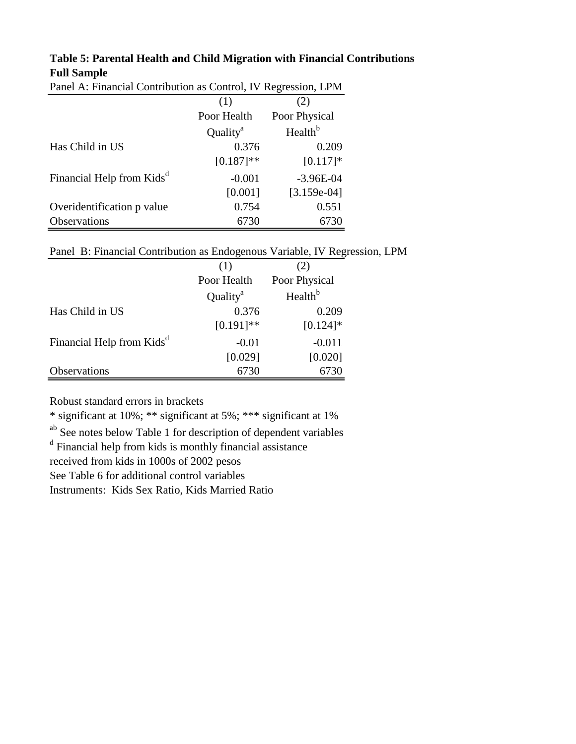#### **Table 5: Parental Health and Child Migration with Financial Contributions Full Sample**

| Panel A: Financial Contribution as Control, TV Regression, LPM |                      |                     |  |  |  |
|----------------------------------------------------------------|----------------------|---------------------|--|--|--|
|                                                                | (1)                  | (2)                 |  |  |  |
|                                                                | Poor Health          | Poor Physical       |  |  |  |
|                                                                | Quality <sup>a</sup> | Health <sup>b</sup> |  |  |  |
| Has Child in US                                                | 0.376                | 0.209               |  |  |  |
|                                                                | $[0.187]$ **         | $[0.117]*$          |  |  |  |
| Financial Help from Kids <sup>a</sup>                          | $-0.001$             | $-3.96E-04$         |  |  |  |
|                                                                | [0.001]              | $[3.159e-04]$       |  |  |  |
| Overidentification p value                                     | 0.754                | 0.551               |  |  |  |
| Observations                                                   | 6730                 | 6730                |  |  |  |

Panel A: Financial Contribution as Control, IV Regression, LPM

Panel B: Financial Contribution as Endogenous Variable, IV Regression, LPM

|                                       | (1)                  | (2)                 |
|---------------------------------------|----------------------|---------------------|
|                                       | Poor Health          | Poor Physical       |
|                                       | Quality <sup>a</sup> | Health <sup>b</sup> |
| Has Child in US                       | 0.376                | 0.209               |
|                                       | $[0.191]$ **         | $[0.124]$ *         |
| Financial Help from Kids <sup>d</sup> | $-0.01$              | $-0.011$            |
|                                       | [0.029]              | [0.020]             |
| Observations                          | 6730                 | 6730                |

Robust standard errors in brackets

\* significant at 10%; \*\* significant at 5%; \*\*\* significant at 1%

ab See notes below Table 1 for description of dependent variables

<sup>d</sup> Financial help from kids is monthly financial assistance

received from kids in 1000s of 2002 pesos

See Table 6 for additional control variables

Instruments: Kids Sex Ratio, Kids Married Ratio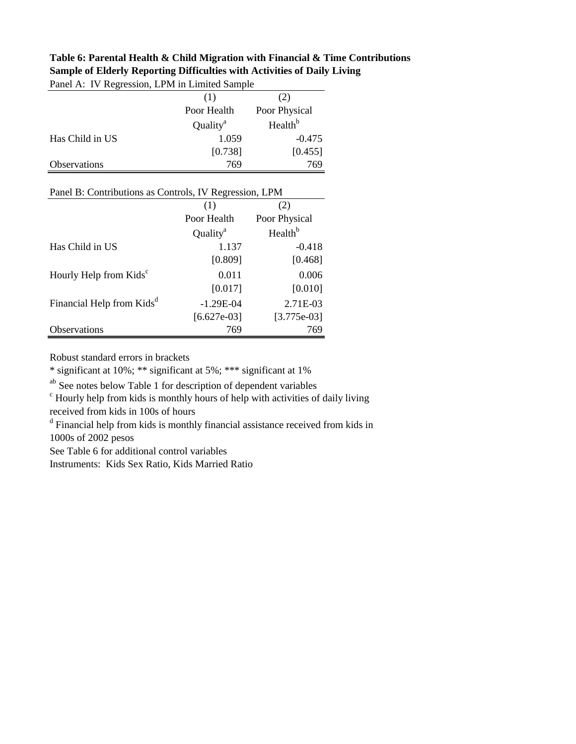| I and TV. TV Regression, Li <i>IVI</i> in Linneed Bample |                      |                     |
|----------------------------------------------------------|----------------------|---------------------|
|                                                          | (1)                  | (2)                 |
|                                                          | Poor Health          | Poor Physical       |
|                                                          | Quality <sup>a</sup> | Health <sup>b</sup> |
| Has Child in US                                          | 1.059                | $-0.475$            |
|                                                          | [0.738]              | [0.455]             |
| Observations                                             | 769                  | 769                 |
|                                                          |                      |                     |
| Panel B: Contributions as Controls, IV Regression, LPM   |                      |                     |
|                                                          | (1)                  | (2)                 |
|                                                          | Poor Health          | Poor Physical       |
|                                                          | Quality <sup>a</sup> | Health <sup>b</sup> |
| Has Child in US                                          | 1.137                | $-0.418$            |
|                                                          | [0.809]              | [0.468]             |
| Hourly Help from Kids <sup>c</sup>                       | 0.011                | 0.006               |
|                                                          | [0.017]              | [0.010]             |
| Financial Help from Kids <sup>d</sup>                    | $-1.29E-04$          | 2.71E-03            |
|                                                          | $[6.627e-03]$        | $[3.775e-03]$       |
| Observations                                             | 769                  | 769                 |

**Table 6: Parental Health & Child Migration with Financial & Time Contributions Sample of Elderly Reporting Difficulties with Activities of Daily Living** Panel A: IV Regression, LPM in Limited Sample

Robust standard errors in brackets

\* significant at 10%; \*\* significant at 5%; \*\*\* significant at 1%

ab See notes below Table 1 for description of dependent variables

<sup>c</sup> Hourly help from kids is monthly hours of help with activities of daily living received from kids in 100s of hours

<sup>d</sup> Financial help from kids is monthly financial assistance received from kids in 1000s of 2002 pesos

See Table 6 for additional control variables

Instruments: Kids Sex Ratio, Kids Married Ratio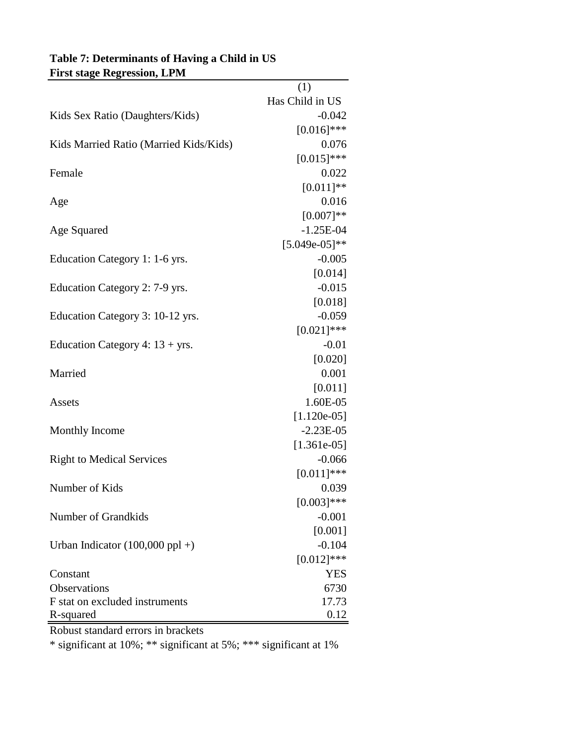| <b>FIFSU Stage Regression, LPM</b>         |                 |
|--------------------------------------------|-----------------|
|                                            | (1)             |
|                                            | Has Child in US |
| Kids Sex Ratio (Daughters/Kids)            | $-0.042$        |
|                                            | $[0.016]$ ***   |
| Kids Married Ratio (Married Kids/Kids)     | 0.076           |
|                                            | $[0.015]$ ***   |
| Female                                     | 0.022           |
|                                            | $[0.011]**$     |
| Age                                        | 0.016           |
|                                            | $[0.007]**$     |
| Age Squared                                | $-1.25E-04$     |
|                                            | $[5.049e-05]*$  |
| Education Category 1: 1-6 yrs.             | $-0.005$        |
|                                            | [0.014]         |
| Education Category 2: 7-9 yrs.             | $-0.015$        |
|                                            | [0.018]         |
| Education Category 3: 10-12 yrs.           | $-0.059$        |
|                                            | $[0.021]$ ***   |
| Education Category 4: $13 + yrs$ .         | $-0.01$         |
|                                            | [0.020]         |
| Married                                    | 0.001           |
|                                            | [0.011]         |
| Assets                                     | 1.60E-05        |
|                                            | $[1.120e-05]$   |
| <b>Monthly Income</b>                      | $-2.23E-05$     |
|                                            | $[1.361e-05]$   |
| <b>Right to Medical Services</b>           | $-0.066$        |
|                                            | $[0.011]$ ***   |
| Number of Kids                             | 0.039           |
|                                            | $[0.003]$ ***   |
| Number of Grandkids                        | $-0.001$        |
|                                            | [0.001]         |
| Urban Indicator $(100,000 \text{ ppl} + )$ | $-0.104$        |
|                                            | $[0.012]$ ***   |
| Constant                                   | <b>YES</b>      |
| Observations                               | 6730            |
| F stat on excluded instruments             | 17.73           |
| R-squared                                  | 0.12            |

### **Table 7: Determinants of Having a Child in US First stage Regression, LPM**

Robust standard errors in brackets

\* significant at 10%; \*\* significant at 5%; \*\*\* significant at 1%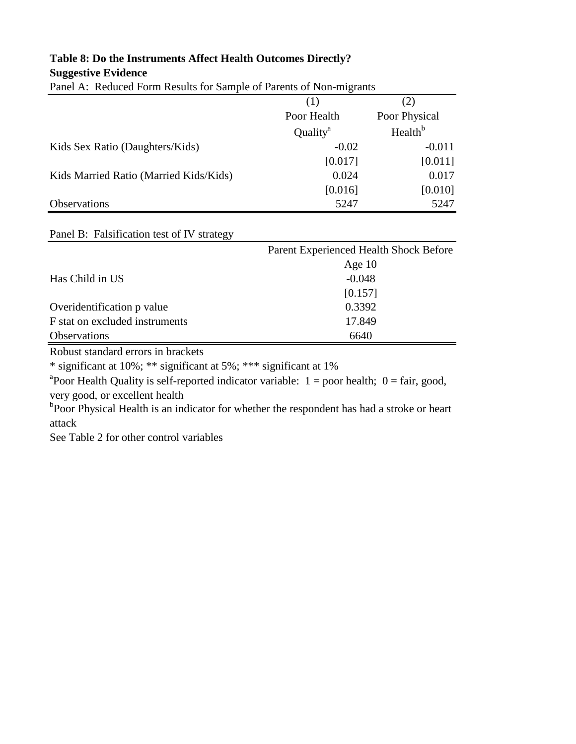# **Table 8: Do the Instruments Affect Health Outcomes Directly?**

**Suggestive Evidence**

|  |  |  |  | Panel A: Reduced Form Results for Sample of Parents of Non-migrants |
|--|--|--|--|---------------------------------------------------------------------|
|  |  |  |  |                                                                     |

|                                        | (1)                  | (2)                 |
|----------------------------------------|----------------------|---------------------|
|                                        | Poor Health          | Poor Physical       |
|                                        | Quality <sup>a</sup> | Health <sup>b</sup> |
| Kids Sex Ratio (Daughters/Kids)        | $-0.02$              | $-0.011$            |
|                                        | [0.017]              | [0.011]             |
| Kids Married Ratio (Married Kids/Kids) | 0.024                | 0.017               |
|                                        | [0.016]              | [0.010]             |
| Observations                           | 5247                 | 5247                |

#### Panel B: Falsification test of IV strategy

|                                | Parent Experienced Health Shock Before |
|--------------------------------|----------------------------------------|
|                                | Age $10$                               |
| Has Child in US                | $-0.048$                               |
|                                | [0.157]                                |
| Overidentification p value     | 0.3392                                 |
| F stat on excluded instruments | 17.849                                 |
| <b>Observations</b>            | 6640                                   |

Robust standard errors in brackets

\* significant at 10%; \*\* significant at 5%; \*\*\* significant at 1%

<sup>a</sup> Poor Health Quality is self-reported indicator variable:  $1 =$  poor health;  $0 =$  fair, good, very good, or excellent health

<sup>b</sup>Poor Physical Health is an indicator for whether the respondent has had a stroke or heart attack

See Table 2 for other control variables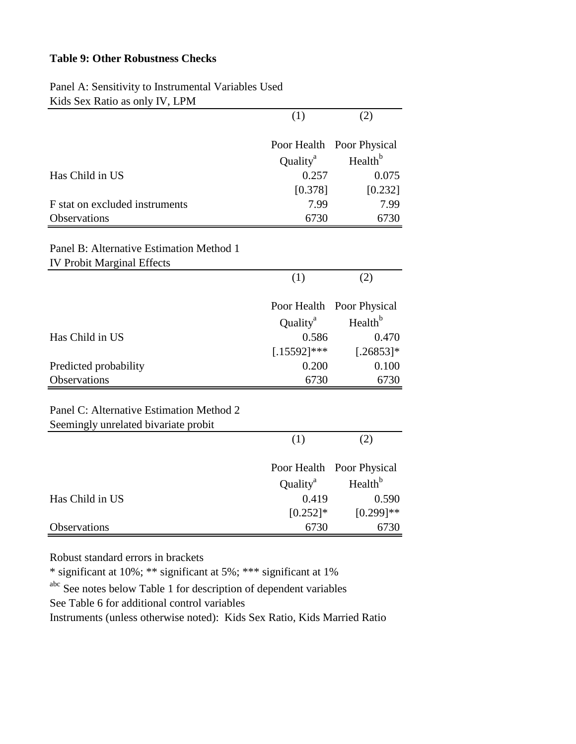#### **Table 9: Other Robustness Checks**

| Kids Sex Ratio as only IV, LPM                                                   |                      |                     |  |  |
|----------------------------------------------------------------------------------|----------------------|---------------------|--|--|
|                                                                                  | (1)                  | (2)                 |  |  |
|                                                                                  | Poor Health          | Poor Physical       |  |  |
|                                                                                  | Quality <sup>a</sup> | Health <sup>b</sup> |  |  |
| Has Child in US                                                                  | 0.257                | 0.075               |  |  |
|                                                                                  | [0.378]              | [0.232]             |  |  |
| F stat on excluded instruments                                                   | 7.99                 | 7.99                |  |  |
| Observations                                                                     | 6730                 | 6730                |  |  |
| Panel B: Alternative Estimation Method 1                                         |                      |                     |  |  |
| <b>IV Probit Marginal Effects</b>                                                |                      |                     |  |  |
|                                                                                  | (1)                  | (2)                 |  |  |
|                                                                                  | Poor Health          | Poor Physical       |  |  |
|                                                                                  | Quality <sup>a</sup> | Health <sup>b</sup> |  |  |
| Has Child in US                                                                  | 0.586                | 0.470               |  |  |
|                                                                                  | $[.15592]$ ***       | $[.26853]*$         |  |  |
| Predicted probability                                                            | 0.200                | 0.100               |  |  |
| Observations                                                                     | 6730                 | 6730                |  |  |
|                                                                                  |                      |                     |  |  |
| Panel C: Alternative Estimation Method 2<br>Seemingly unrelated bivariate probit |                      |                     |  |  |
|                                                                                  | (1)                  | (2)                 |  |  |
|                                                                                  |                      |                     |  |  |
|                                                                                  | Poor Health          | Poor Physical       |  |  |
|                                                                                  | Quality <sup>a</sup> | Health <sup>b</sup> |  |  |
| Has Child in US                                                                  | 0.419                | 0.590               |  |  |
|                                                                                  | $[0.252]$ *          | $[0.299]$ **        |  |  |
| Observations                                                                     | 6730                 | 6730                |  |  |

Panel A: Sensitivity to Instrumental Variables Used

Robust standard errors in brackets

\* significant at 10%; \*\* significant at 5%; \*\*\* significant at 1%

abc See notes below Table 1 for description of dependent variables See Table 6 for additional control variables

Instruments (unless otherwise noted): Kids Sex Ratio, Kids Married Ratio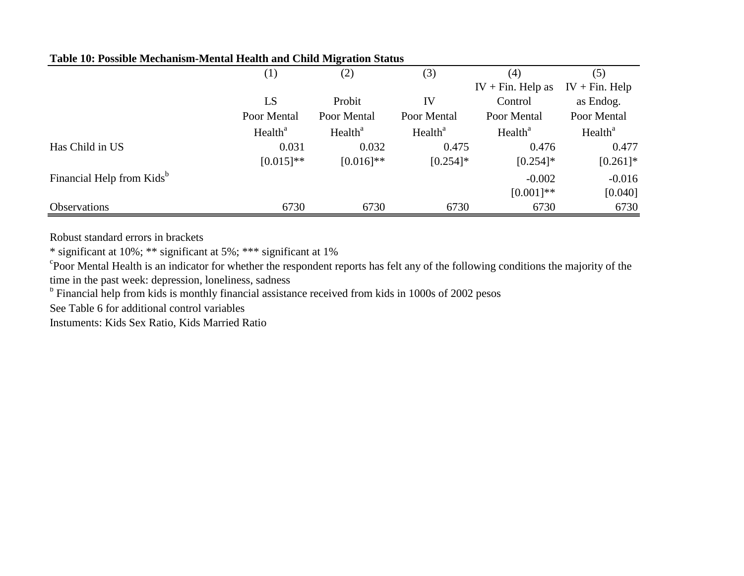| Table 10: Possible Mechanism-Mental Health and Child Migration Status |  |
|-----------------------------------------------------------------------|--|
|                                                                       |  |

|                                       | (1)                 | (2)                 | (3)                 | (4)                 | (5)                 |
|---------------------------------------|---------------------|---------------------|---------------------|---------------------|---------------------|
|                                       |                     |                     |                     | $IV + Fin. Help as$ | $IV + Fin. Help$    |
|                                       | LS                  | Probit              | IV                  | Control             | as Endog.           |
|                                       | Poor Mental         | Poor Mental         | Poor Mental         | Poor Mental         | Poor Mental         |
|                                       | Health <sup>a</sup> | Health <sup>a</sup> | Health <sup>a</sup> | Health <sup>a</sup> | Health <sup>a</sup> |
| Has Child in US                       | 0.031               | 0.032               | 0.475               | 0.476               | 0.477               |
|                                       | $[0.015]$ **        | $[0.016]$ **        | $[0.254]$ *         | $[0.254]$ *         | $[0.261]$ *         |
| Financial Help from Kids <sup>b</sup> |                     |                     |                     | $-0.002$            | $-0.016$            |
|                                       |                     |                     |                     | $[0.001]**$         | [0.040]             |
| <b>Observations</b>                   | 6730                | 6730                | 6730                | 6730                | 6730                |

Robust standard errors in brackets

\* significant at 10%; \*\* significant at 5%; \*\*\* significant at 1%

<sup>c</sup>Poor Mental Health is an indicator for whether the respondent reports has felt any of the following conditions the majority of the time in the past week: depression, loneliness, sadness

<sup>b</sup> Financial help from kids is monthly financial assistance received from kids in 1000s of 2002 pesos

See Table 6 for additional control variables

Instuments: Kids Sex Ratio, Kids Married Ratio